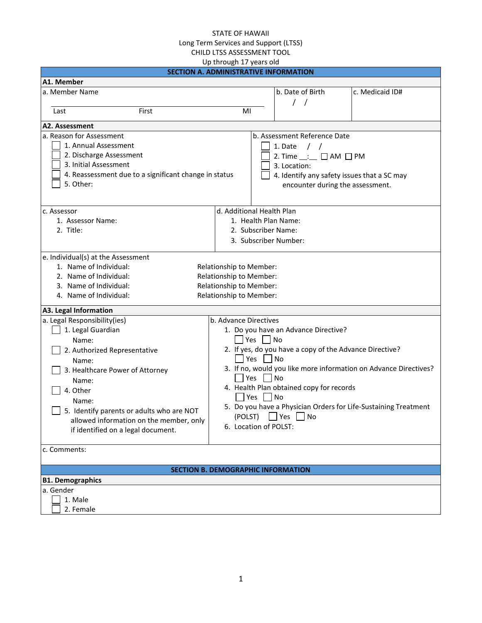|                                                                                                                                                                                                                                      | Up through 17 years old                                                                                                                            |                                                                                                                                                                                                       |                                                                                                                                     |
|--------------------------------------------------------------------------------------------------------------------------------------------------------------------------------------------------------------------------------------|----------------------------------------------------------------------------------------------------------------------------------------------------|-------------------------------------------------------------------------------------------------------------------------------------------------------------------------------------------------------|-------------------------------------------------------------------------------------------------------------------------------------|
|                                                                                                                                                                                                                                      | <b>SECTION A. ADMINISTRATIVE INFORMATION</b>                                                                                                       |                                                                                                                                                                                                       |                                                                                                                                     |
| A1. Member                                                                                                                                                                                                                           |                                                                                                                                                    |                                                                                                                                                                                                       |                                                                                                                                     |
| a. Member Name                                                                                                                                                                                                                       |                                                                                                                                                    | b. Date of Birth<br>$\left  \right $                                                                                                                                                                  | c. Medicaid ID#                                                                                                                     |
| Last<br>First                                                                                                                                                                                                                        | MI                                                                                                                                                 |                                                                                                                                                                                                       |                                                                                                                                     |
| A2. Assessment                                                                                                                                                                                                                       |                                                                                                                                                    |                                                                                                                                                                                                       |                                                                                                                                     |
| a. Reason for Assessment<br>1. Annual Assessment<br>2. Discharge Assessment<br>3. Initial Assessment<br>4. Reassessment due to a significant change in status<br>5. Other:                                                           |                                                                                                                                                    | b. Assessment Reference Date<br>1. Date<br>$\prime$ /<br>2. Time $\_\_ := \square$ AM $\square$ PM<br>3. Location:<br>4. Identify any safety issues that a SC may<br>encounter during the assessment. |                                                                                                                                     |
| c. Assessor                                                                                                                                                                                                                          | d. Additional Health Plan                                                                                                                          |                                                                                                                                                                                                       |                                                                                                                                     |
| 1. Assessor Name:                                                                                                                                                                                                                    | 1. Health Plan Name:                                                                                                                               |                                                                                                                                                                                                       |                                                                                                                                     |
| 2. Title:                                                                                                                                                                                                                            | 2. Subscriber Name:                                                                                                                                |                                                                                                                                                                                                       |                                                                                                                                     |
|                                                                                                                                                                                                                                      | 3. Subscriber Number:                                                                                                                              |                                                                                                                                                                                                       |                                                                                                                                     |
| e. Individual(s) at the Assessment<br>1. Name of Individual:<br>2. Name of Individual:<br>3. Name of Individual:<br>4. Name of Individual:<br>A3. Legal Information<br>a. Legal Responsibility(ies)<br>1. Legal Guardian<br>Name:    | Relationship to Member:<br>Relationship to Member:<br>Relationship to Member:<br>Relationship to Member:<br>b. Advance Directives<br>Yes $\Box$ No | 1. Do you have an Advance Directive?                                                                                                                                                                  |                                                                                                                                     |
| 2. Authorized Representative<br>Name:<br>3. Healthcare Power of Attorney<br>Name:<br>4. Other<br>Name:<br>5. Identify parents or adults who are NOT<br>allowed information on the member, only<br>if identified on a legal document. | Yes $\Box$ No<br>Yes     No<br>Yes     No<br>$(POLST)$ $\Box$<br>6. Location of POLST:                                                             | 2. If yes, do you have a copy of the Advance Directive?<br>4. Health Plan obtained copy for records<br>$\mathsf{\mathsf{I}}$ Yes<br>No                                                                | 3. If no, would you like more information on Advance Directives?<br>5. Do you have a Physician Orders for Life-Sustaining Treatment |
| c. Comments:                                                                                                                                                                                                                         |                                                                                                                                                    |                                                                                                                                                                                                       |                                                                                                                                     |
|                                                                                                                                                                                                                                      | <b>SECTION B. DEMOGRAPHIC INFORMATION</b>                                                                                                          |                                                                                                                                                                                                       |                                                                                                                                     |
| <b>B1. Demographics</b>                                                                                                                                                                                                              |                                                                                                                                                    |                                                                                                                                                                                                       |                                                                                                                                     |
| a. Gender                                                                                                                                                                                                                            |                                                                                                                                                    |                                                                                                                                                                                                       |                                                                                                                                     |
| 1. Male                                                                                                                                                                                                                              |                                                                                                                                                    |                                                                                                                                                                                                       |                                                                                                                                     |
| 2. Female                                                                                                                                                                                                                            |                                                                                                                                                    |                                                                                                                                                                                                       |                                                                                                                                     |
|                                                                                                                                                                                                                                      |                                                                                                                                                    |                                                                                                                                                                                                       |                                                                                                                                     |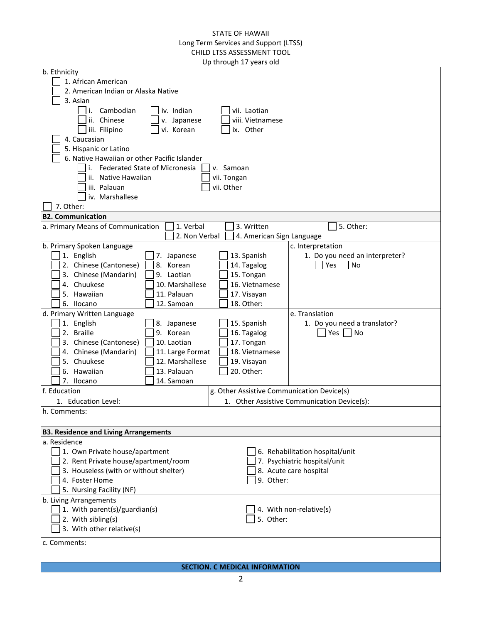| 1. African American<br>2. American Indian or Alaska Native<br>3. Asian<br>iv. Indian<br>Cambodian<br>vii. Laotian<br>ii. Chinese<br>viii. Vietnamese<br>v. Japanese<br>iii. Filipino<br>vi. Korean<br>ix. Other<br>4. Caucasian<br>5. Hispanic or Latino<br>6. Native Hawaiian or other Pacific Islander<br><b>Federated State of Micronesia</b><br>v. Samoan<br>ii. Native Hawaiian<br>vii. Tongan<br>vii. Other<br>iii. Palauan<br>iv. Marshallese<br>7. Other:<br><b>B2. Communication</b><br>1. Verbal<br>3. Written<br>5. Other:<br>a. Primary Means of Communication<br>2. Non Verbal<br>4. American Sign Language<br>b. Primary Spoken Language<br>c. Interpretation<br>13. Spanish<br>1. Do you need an interpreter?<br>1. English<br>7. Japanese<br>2. Chinese (Cantonese)<br>8. Korean<br>14. Tagalog<br>Yes<br>No<br>3. Chinese (Mandarin)<br>9. Laotian<br>15. Tongan<br>4. Chuukese<br>10. Marshallese<br>16. Vietnamese<br>5. Hawaiian<br>11. Palauan<br>17. Visayan<br>12. Samoan<br>18. Other:<br>6. Ilocano<br>e. Translation<br>d. Primary Written Language<br>1. English<br>15. Spanish<br>8. Japanese<br>1. Do you need a translator?<br>2. Braille<br>9. Korean<br>16. Tagalog<br>Yes $\vert$<br>No<br>3. Chinese (Cantonese)<br>10. Laotian<br>17. Tongan<br>4. Chinese (Mandarin)<br>11. Large Format<br>18. Vietnamese<br>Chuukese<br>12. Marshallese<br>19. Visayan<br>5.<br>20. Other:<br>6. Hawaiian<br>13. Palauan<br>14. Samoan<br>7. Ilocano<br>f. Education<br>g. Other Assistive Communication Device(s)<br>1. Other Assistive Communication Device(s):<br>1. Education Level:<br>h. Comments:<br><b>B3. Residence and Living Arrangements</b><br>a. Residence<br>1. Own Private house/apartment<br>6. Rehabilitation hospital/unit<br>2. Rent Private house/apartment/room<br>7. Psychiatric hospital/unit<br>3. Houseless (with or without shelter)<br>8. Acute care hospital<br>9. Other:<br>4. Foster Home<br>5. Nursing Facility (NF)<br>b. Living Arrangements<br>1. With parent(s)/guardian(s)<br>4. With non-relative(s)<br>2. With sibling(s)<br>5. Other:<br>3. With other relative(s)<br>c. Comments:<br><b>SECTION. C MEDICAL INFORMATION</b> | b. Ethnicity |  |
|-------------------------------------------------------------------------------------------------------------------------------------------------------------------------------------------------------------------------------------------------------------------------------------------------------------------------------------------------------------------------------------------------------------------------------------------------------------------------------------------------------------------------------------------------------------------------------------------------------------------------------------------------------------------------------------------------------------------------------------------------------------------------------------------------------------------------------------------------------------------------------------------------------------------------------------------------------------------------------------------------------------------------------------------------------------------------------------------------------------------------------------------------------------------------------------------------------------------------------------------------------------------------------------------------------------------------------------------------------------------------------------------------------------------------------------------------------------------------------------------------------------------------------------------------------------------------------------------------------------------------------------------------------------------------------------------------------------------------------------------------------------------------------------------------------------------------------------------------------------------------------------------------------------------------------------------------------------------------------------------------------------------------------------------------------------------------------------------------------------------------------------------------------------------------------------------|--------------|--|
|                                                                                                                                                                                                                                                                                                                                                                                                                                                                                                                                                                                                                                                                                                                                                                                                                                                                                                                                                                                                                                                                                                                                                                                                                                                                                                                                                                                                                                                                                                                                                                                                                                                                                                                                                                                                                                                                                                                                                                                                                                                                                                                                                                                           |              |  |
|                                                                                                                                                                                                                                                                                                                                                                                                                                                                                                                                                                                                                                                                                                                                                                                                                                                                                                                                                                                                                                                                                                                                                                                                                                                                                                                                                                                                                                                                                                                                                                                                                                                                                                                                                                                                                                                                                                                                                                                                                                                                                                                                                                                           |              |  |
|                                                                                                                                                                                                                                                                                                                                                                                                                                                                                                                                                                                                                                                                                                                                                                                                                                                                                                                                                                                                                                                                                                                                                                                                                                                                                                                                                                                                                                                                                                                                                                                                                                                                                                                                                                                                                                                                                                                                                                                                                                                                                                                                                                                           |              |  |
|                                                                                                                                                                                                                                                                                                                                                                                                                                                                                                                                                                                                                                                                                                                                                                                                                                                                                                                                                                                                                                                                                                                                                                                                                                                                                                                                                                                                                                                                                                                                                                                                                                                                                                                                                                                                                                                                                                                                                                                                                                                                                                                                                                                           |              |  |
|                                                                                                                                                                                                                                                                                                                                                                                                                                                                                                                                                                                                                                                                                                                                                                                                                                                                                                                                                                                                                                                                                                                                                                                                                                                                                                                                                                                                                                                                                                                                                                                                                                                                                                                                                                                                                                                                                                                                                                                                                                                                                                                                                                                           |              |  |
|                                                                                                                                                                                                                                                                                                                                                                                                                                                                                                                                                                                                                                                                                                                                                                                                                                                                                                                                                                                                                                                                                                                                                                                                                                                                                                                                                                                                                                                                                                                                                                                                                                                                                                                                                                                                                                                                                                                                                                                                                                                                                                                                                                                           |              |  |
|                                                                                                                                                                                                                                                                                                                                                                                                                                                                                                                                                                                                                                                                                                                                                                                                                                                                                                                                                                                                                                                                                                                                                                                                                                                                                                                                                                                                                                                                                                                                                                                                                                                                                                                                                                                                                                                                                                                                                                                                                                                                                                                                                                                           |              |  |
|                                                                                                                                                                                                                                                                                                                                                                                                                                                                                                                                                                                                                                                                                                                                                                                                                                                                                                                                                                                                                                                                                                                                                                                                                                                                                                                                                                                                                                                                                                                                                                                                                                                                                                                                                                                                                                                                                                                                                                                                                                                                                                                                                                                           |              |  |
|                                                                                                                                                                                                                                                                                                                                                                                                                                                                                                                                                                                                                                                                                                                                                                                                                                                                                                                                                                                                                                                                                                                                                                                                                                                                                                                                                                                                                                                                                                                                                                                                                                                                                                                                                                                                                                                                                                                                                                                                                                                                                                                                                                                           |              |  |
|                                                                                                                                                                                                                                                                                                                                                                                                                                                                                                                                                                                                                                                                                                                                                                                                                                                                                                                                                                                                                                                                                                                                                                                                                                                                                                                                                                                                                                                                                                                                                                                                                                                                                                                                                                                                                                                                                                                                                                                                                                                                                                                                                                                           |              |  |
|                                                                                                                                                                                                                                                                                                                                                                                                                                                                                                                                                                                                                                                                                                                                                                                                                                                                                                                                                                                                                                                                                                                                                                                                                                                                                                                                                                                                                                                                                                                                                                                                                                                                                                                                                                                                                                                                                                                                                                                                                                                                                                                                                                                           |              |  |
|                                                                                                                                                                                                                                                                                                                                                                                                                                                                                                                                                                                                                                                                                                                                                                                                                                                                                                                                                                                                                                                                                                                                                                                                                                                                                                                                                                                                                                                                                                                                                                                                                                                                                                                                                                                                                                                                                                                                                                                                                                                                                                                                                                                           |              |  |
|                                                                                                                                                                                                                                                                                                                                                                                                                                                                                                                                                                                                                                                                                                                                                                                                                                                                                                                                                                                                                                                                                                                                                                                                                                                                                                                                                                                                                                                                                                                                                                                                                                                                                                                                                                                                                                                                                                                                                                                                                                                                                                                                                                                           |              |  |
|                                                                                                                                                                                                                                                                                                                                                                                                                                                                                                                                                                                                                                                                                                                                                                                                                                                                                                                                                                                                                                                                                                                                                                                                                                                                                                                                                                                                                                                                                                                                                                                                                                                                                                                                                                                                                                                                                                                                                                                                                                                                                                                                                                                           |              |  |
|                                                                                                                                                                                                                                                                                                                                                                                                                                                                                                                                                                                                                                                                                                                                                                                                                                                                                                                                                                                                                                                                                                                                                                                                                                                                                                                                                                                                                                                                                                                                                                                                                                                                                                                                                                                                                                                                                                                                                                                                                                                                                                                                                                                           |              |  |
|                                                                                                                                                                                                                                                                                                                                                                                                                                                                                                                                                                                                                                                                                                                                                                                                                                                                                                                                                                                                                                                                                                                                                                                                                                                                                                                                                                                                                                                                                                                                                                                                                                                                                                                                                                                                                                                                                                                                                                                                                                                                                                                                                                                           |              |  |
|                                                                                                                                                                                                                                                                                                                                                                                                                                                                                                                                                                                                                                                                                                                                                                                                                                                                                                                                                                                                                                                                                                                                                                                                                                                                                                                                                                                                                                                                                                                                                                                                                                                                                                                                                                                                                                                                                                                                                                                                                                                                                                                                                                                           |              |  |
|                                                                                                                                                                                                                                                                                                                                                                                                                                                                                                                                                                                                                                                                                                                                                                                                                                                                                                                                                                                                                                                                                                                                                                                                                                                                                                                                                                                                                                                                                                                                                                                                                                                                                                                                                                                                                                                                                                                                                                                                                                                                                                                                                                                           |              |  |
|                                                                                                                                                                                                                                                                                                                                                                                                                                                                                                                                                                                                                                                                                                                                                                                                                                                                                                                                                                                                                                                                                                                                                                                                                                                                                                                                                                                                                                                                                                                                                                                                                                                                                                                                                                                                                                                                                                                                                                                                                                                                                                                                                                                           |              |  |
|                                                                                                                                                                                                                                                                                                                                                                                                                                                                                                                                                                                                                                                                                                                                                                                                                                                                                                                                                                                                                                                                                                                                                                                                                                                                                                                                                                                                                                                                                                                                                                                                                                                                                                                                                                                                                                                                                                                                                                                                                                                                                                                                                                                           |              |  |
|                                                                                                                                                                                                                                                                                                                                                                                                                                                                                                                                                                                                                                                                                                                                                                                                                                                                                                                                                                                                                                                                                                                                                                                                                                                                                                                                                                                                                                                                                                                                                                                                                                                                                                                                                                                                                                                                                                                                                                                                                                                                                                                                                                                           |              |  |
|                                                                                                                                                                                                                                                                                                                                                                                                                                                                                                                                                                                                                                                                                                                                                                                                                                                                                                                                                                                                                                                                                                                                                                                                                                                                                                                                                                                                                                                                                                                                                                                                                                                                                                                                                                                                                                                                                                                                                                                                                                                                                                                                                                                           |              |  |
|                                                                                                                                                                                                                                                                                                                                                                                                                                                                                                                                                                                                                                                                                                                                                                                                                                                                                                                                                                                                                                                                                                                                                                                                                                                                                                                                                                                                                                                                                                                                                                                                                                                                                                                                                                                                                                                                                                                                                                                                                                                                                                                                                                                           |              |  |
|                                                                                                                                                                                                                                                                                                                                                                                                                                                                                                                                                                                                                                                                                                                                                                                                                                                                                                                                                                                                                                                                                                                                                                                                                                                                                                                                                                                                                                                                                                                                                                                                                                                                                                                                                                                                                                                                                                                                                                                                                                                                                                                                                                                           |              |  |
|                                                                                                                                                                                                                                                                                                                                                                                                                                                                                                                                                                                                                                                                                                                                                                                                                                                                                                                                                                                                                                                                                                                                                                                                                                                                                                                                                                                                                                                                                                                                                                                                                                                                                                                                                                                                                                                                                                                                                                                                                                                                                                                                                                                           |              |  |
|                                                                                                                                                                                                                                                                                                                                                                                                                                                                                                                                                                                                                                                                                                                                                                                                                                                                                                                                                                                                                                                                                                                                                                                                                                                                                                                                                                                                                                                                                                                                                                                                                                                                                                                                                                                                                                                                                                                                                                                                                                                                                                                                                                                           |              |  |
|                                                                                                                                                                                                                                                                                                                                                                                                                                                                                                                                                                                                                                                                                                                                                                                                                                                                                                                                                                                                                                                                                                                                                                                                                                                                                                                                                                                                                                                                                                                                                                                                                                                                                                                                                                                                                                                                                                                                                                                                                                                                                                                                                                                           |              |  |
|                                                                                                                                                                                                                                                                                                                                                                                                                                                                                                                                                                                                                                                                                                                                                                                                                                                                                                                                                                                                                                                                                                                                                                                                                                                                                                                                                                                                                                                                                                                                                                                                                                                                                                                                                                                                                                                                                                                                                                                                                                                                                                                                                                                           |              |  |
|                                                                                                                                                                                                                                                                                                                                                                                                                                                                                                                                                                                                                                                                                                                                                                                                                                                                                                                                                                                                                                                                                                                                                                                                                                                                                                                                                                                                                                                                                                                                                                                                                                                                                                                                                                                                                                                                                                                                                                                                                                                                                                                                                                                           |              |  |
|                                                                                                                                                                                                                                                                                                                                                                                                                                                                                                                                                                                                                                                                                                                                                                                                                                                                                                                                                                                                                                                                                                                                                                                                                                                                                                                                                                                                                                                                                                                                                                                                                                                                                                                                                                                                                                                                                                                                                                                                                                                                                                                                                                                           |              |  |
|                                                                                                                                                                                                                                                                                                                                                                                                                                                                                                                                                                                                                                                                                                                                                                                                                                                                                                                                                                                                                                                                                                                                                                                                                                                                                                                                                                                                                                                                                                                                                                                                                                                                                                                                                                                                                                                                                                                                                                                                                                                                                                                                                                                           |              |  |
|                                                                                                                                                                                                                                                                                                                                                                                                                                                                                                                                                                                                                                                                                                                                                                                                                                                                                                                                                                                                                                                                                                                                                                                                                                                                                                                                                                                                                                                                                                                                                                                                                                                                                                                                                                                                                                                                                                                                                                                                                                                                                                                                                                                           |              |  |
|                                                                                                                                                                                                                                                                                                                                                                                                                                                                                                                                                                                                                                                                                                                                                                                                                                                                                                                                                                                                                                                                                                                                                                                                                                                                                                                                                                                                                                                                                                                                                                                                                                                                                                                                                                                                                                                                                                                                                                                                                                                                                                                                                                                           |              |  |
|                                                                                                                                                                                                                                                                                                                                                                                                                                                                                                                                                                                                                                                                                                                                                                                                                                                                                                                                                                                                                                                                                                                                                                                                                                                                                                                                                                                                                                                                                                                                                                                                                                                                                                                                                                                                                                                                                                                                                                                                                                                                                                                                                                                           |              |  |
|                                                                                                                                                                                                                                                                                                                                                                                                                                                                                                                                                                                                                                                                                                                                                                                                                                                                                                                                                                                                                                                                                                                                                                                                                                                                                                                                                                                                                                                                                                                                                                                                                                                                                                                                                                                                                                                                                                                                                                                                                                                                                                                                                                                           |              |  |
|                                                                                                                                                                                                                                                                                                                                                                                                                                                                                                                                                                                                                                                                                                                                                                                                                                                                                                                                                                                                                                                                                                                                                                                                                                                                                                                                                                                                                                                                                                                                                                                                                                                                                                                                                                                                                                                                                                                                                                                                                                                                                                                                                                                           |              |  |
|                                                                                                                                                                                                                                                                                                                                                                                                                                                                                                                                                                                                                                                                                                                                                                                                                                                                                                                                                                                                                                                                                                                                                                                                                                                                                                                                                                                                                                                                                                                                                                                                                                                                                                                                                                                                                                                                                                                                                                                                                                                                                                                                                                                           |              |  |
|                                                                                                                                                                                                                                                                                                                                                                                                                                                                                                                                                                                                                                                                                                                                                                                                                                                                                                                                                                                                                                                                                                                                                                                                                                                                                                                                                                                                                                                                                                                                                                                                                                                                                                                                                                                                                                                                                                                                                                                                                                                                                                                                                                                           |              |  |
|                                                                                                                                                                                                                                                                                                                                                                                                                                                                                                                                                                                                                                                                                                                                                                                                                                                                                                                                                                                                                                                                                                                                                                                                                                                                                                                                                                                                                                                                                                                                                                                                                                                                                                                                                                                                                                                                                                                                                                                                                                                                                                                                                                                           |              |  |
|                                                                                                                                                                                                                                                                                                                                                                                                                                                                                                                                                                                                                                                                                                                                                                                                                                                                                                                                                                                                                                                                                                                                                                                                                                                                                                                                                                                                                                                                                                                                                                                                                                                                                                                                                                                                                                                                                                                                                                                                                                                                                                                                                                                           |              |  |
|                                                                                                                                                                                                                                                                                                                                                                                                                                                                                                                                                                                                                                                                                                                                                                                                                                                                                                                                                                                                                                                                                                                                                                                                                                                                                                                                                                                                                                                                                                                                                                                                                                                                                                                                                                                                                                                                                                                                                                                                                                                                                                                                                                                           |              |  |
|                                                                                                                                                                                                                                                                                                                                                                                                                                                                                                                                                                                                                                                                                                                                                                                                                                                                                                                                                                                                                                                                                                                                                                                                                                                                                                                                                                                                                                                                                                                                                                                                                                                                                                                                                                                                                                                                                                                                                                                                                                                                                                                                                                                           |              |  |
|                                                                                                                                                                                                                                                                                                                                                                                                                                                                                                                                                                                                                                                                                                                                                                                                                                                                                                                                                                                                                                                                                                                                                                                                                                                                                                                                                                                                                                                                                                                                                                                                                                                                                                                                                                                                                                                                                                                                                                                                                                                                                                                                                                                           |              |  |
|                                                                                                                                                                                                                                                                                                                                                                                                                                                                                                                                                                                                                                                                                                                                                                                                                                                                                                                                                                                                                                                                                                                                                                                                                                                                                                                                                                                                                                                                                                                                                                                                                                                                                                                                                                                                                                                                                                                                                                                                                                                                                                                                                                                           |              |  |
|                                                                                                                                                                                                                                                                                                                                                                                                                                                                                                                                                                                                                                                                                                                                                                                                                                                                                                                                                                                                                                                                                                                                                                                                                                                                                                                                                                                                                                                                                                                                                                                                                                                                                                                                                                                                                                                                                                                                                                                                                                                                                                                                                                                           |              |  |
|                                                                                                                                                                                                                                                                                                                                                                                                                                                                                                                                                                                                                                                                                                                                                                                                                                                                                                                                                                                                                                                                                                                                                                                                                                                                                                                                                                                                                                                                                                                                                                                                                                                                                                                                                                                                                                                                                                                                                                                                                                                                                                                                                                                           |              |  |
|                                                                                                                                                                                                                                                                                                                                                                                                                                                                                                                                                                                                                                                                                                                                                                                                                                                                                                                                                                                                                                                                                                                                                                                                                                                                                                                                                                                                                                                                                                                                                                                                                                                                                                                                                                                                                                                                                                                                                                                                                                                                                                                                                                                           |              |  |
|                                                                                                                                                                                                                                                                                                                                                                                                                                                                                                                                                                                                                                                                                                                                                                                                                                                                                                                                                                                                                                                                                                                                                                                                                                                                                                                                                                                                                                                                                                                                                                                                                                                                                                                                                                                                                                                                                                                                                                                                                                                                                                                                                                                           |              |  |
|                                                                                                                                                                                                                                                                                                                                                                                                                                                                                                                                                                                                                                                                                                                                                                                                                                                                                                                                                                                                                                                                                                                                                                                                                                                                                                                                                                                                                                                                                                                                                                                                                                                                                                                                                                                                                                                                                                                                                                                                                                                                                                                                                                                           |              |  |
|                                                                                                                                                                                                                                                                                                                                                                                                                                                                                                                                                                                                                                                                                                                                                                                                                                                                                                                                                                                                                                                                                                                                                                                                                                                                                                                                                                                                                                                                                                                                                                                                                                                                                                                                                                                                                                                                                                                                                                                                                                                                                                                                                                                           |              |  |
|                                                                                                                                                                                                                                                                                                                                                                                                                                                                                                                                                                                                                                                                                                                                                                                                                                                                                                                                                                                                                                                                                                                                                                                                                                                                                                                                                                                                                                                                                                                                                                                                                                                                                                                                                                                                                                                                                                                                                                                                                                                                                                                                                                                           |              |  |
|                                                                                                                                                                                                                                                                                                                                                                                                                                                                                                                                                                                                                                                                                                                                                                                                                                                                                                                                                                                                                                                                                                                                                                                                                                                                                                                                                                                                                                                                                                                                                                                                                                                                                                                                                                                                                                                                                                                                                                                                                                                                                                                                                                                           |              |  |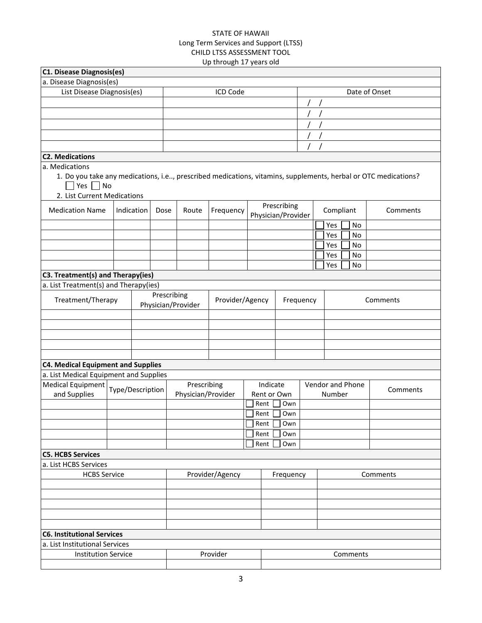|                                                                       |                  |      |                                   | uh mnongii 17 years olu |      |                         |                                                                                                                |               |
|-----------------------------------------------------------------------|------------------|------|-----------------------------------|-------------------------|------|-------------------------|----------------------------------------------------------------------------------------------------------------|---------------|
| C1. Disease Diagnosis(es)                                             |                  |      |                                   |                         |      |                         |                                                                                                                |               |
| a. Disease Diagnosis(es)                                              |                  |      |                                   |                         |      |                         |                                                                                                                |               |
| List Disease Diagnosis(es)                                            |                  |      |                                   | ICD Code                |      |                         |                                                                                                                | Date of Onset |
|                                                                       |                  |      |                                   |                         |      |                         |                                                                                                                |               |
|                                                                       |                  |      |                                   |                         |      |                         |                                                                                                                |               |
|                                                                       |                  |      |                                   |                         |      |                         |                                                                                                                |               |
|                                                                       |                  |      |                                   |                         |      |                         |                                                                                                                |               |
|                                                                       |                  |      |                                   |                         |      |                         |                                                                                                                |               |
| <b>C2. Medications</b>                                                |                  |      |                                   |                         |      |                         |                                                                                                                |               |
| a. Medications<br>$\Box$ Yes $\Box$ No<br>2. List Current Medications |                  |      |                                   |                         |      |                         | 1. Do you take any medications, i.e, prescribed medications, vitamins, supplements, herbal or OTC medications? |               |
| <b>Medication Name</b>                                                | Indication       | Dose | Route                             | Frequency               |      | Prescribing             | Compliant                                                                                                      | Comments      |
|                                                                       |                  |      |                                   |                         |      | Physician/Provider      | Yes<br>No                                                                                                      |               |
|                                                                       |                  |      |                                   |                         |      |                         | Yes<br>No                                                                                                      |               |
|                                                                       |                  |      |                                   |                         |      |                         | No<br>Yes                                                                                                      |               |
|                                                                       |                  |      |                                   |                         |      |                         | Yes<br>No                                                                                                      |               |
|                                                                       |                  |      |                                   |                         |      |                         | <b>No</b><br>Yes                                                                                               |               |
| C3. Treatment(s) and Therapy(ies)                                     |                  |      |                                   |                         |      |                         |                                                                                                                |               |
| a. List Treatment(s) and Therapy(ies)                                 |                  |      |                                   |                         |      |                         |                                                                                                                |               |
| Treatment/Therapy                                                     |                  |      | Prescribing<br>Physician/Provider | Provider/Agency         |      | Frequency               |                                                                                                                | Comments      |
|                                                                       |                  |      |                                   |                         |      |                         |                                                                                                                |               |
|                                                                       |                  |      |                                   |                         |      |                         |                                                                                                                |               |
|                                                                       |                  |      |                                   |                         |      |                         |                                                                                                                |               |
|                                                                       |                  |      |                                   |                         |      |                         |                                                                                                                |               |
|                                                                       |                  |      |                                   |                         |      |                         |                                                                                                                |               |
| <b>C4. Medical Equipment and Supplies</b>                             |                  |      |                                   |                         |      |                         |                                                                                                                |               |
| a. List Medical Equipment and Supplies                                |                  |      |                                   |                         |      |                         |                                                                                                                |               |
| <b>Medical Equipment</b><br>and Supplies                              | Type/Description |      | Prescribing<br>Physician/Provider |                         |      | Indicate<br>Rent or Own | Vendor and Phone<br>Number                                                                                     | Comments      |
|                                                                       |                  |      |                                   |                         | Rent | Own                     |                                                                                                                |               |
|                                                                       |                  |      |                                   |                         | Rent | Own                     |                                                                                                                |               |
|                                                                       |                  |      |                                   |                         |      | Rent<br>Own             |                                                                                                                |               |
|                                                                       |                  |      |                                   |                         | Rent | Own                     |                                                                                                                |               |
|                                                                       |                  |      |                                   |                         | Rent | Own                     |                                                                                                                |               |
| <b>C5. HCBS Services</b>                                              |                  |      |                                   |                         |      |                         |                                                                                                                |               |
| a. List HCBS Services                                                 |                  |      |                                   |                         |      |                         |                                                                                                                |               |
| <b>HCBS Service</b>                                                   |                  |      |                                   | Provider/Agency         |      | Frequency               |                                                                                                                | Comments      |
|                                                                       |                  |      |                                   |                         |      |                         |                                                                                                                |               |
|                                                                       |                  |      |                                   |                         |      |                         |                                                                                                                |               |
|                                                                       |                  |      |                                   |                         |      |                         |                                                                                                                |               |
|                                                                       |                  |      |                                   |                         |      |                         |                                                                                                                |               |
|                                                                       |                  |      |                                   |                         |      |                         |                                                                                                                |               |
| <b>C6. Institutional Services</b>                                     |                  |      |                                   |                         |      |                         |                                                                                                                |               |
| a. List Institutional Services                                        |                  |      |                                   |                         |      |                         |                                                                                                                |               |
| <b>Institution Service</b>                                            |                  |      |                                   | Provider                |      |                         | Comments                                                                                                       |               |
|                                                                       |                  |      |                                   |                         |      |                         |                                                                                                                |               |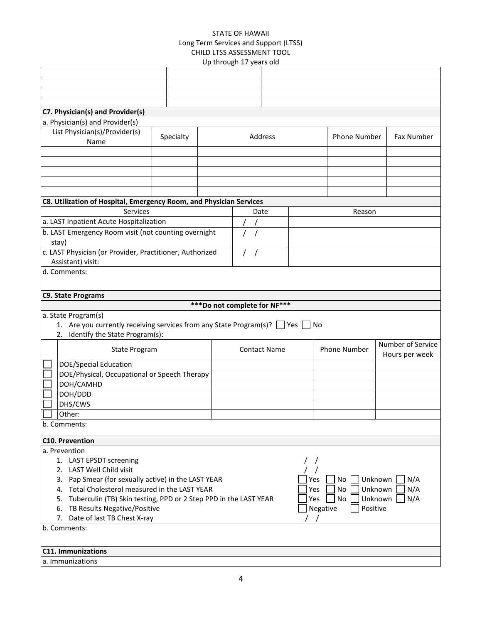|                                                                                                        |           | up unuugii 17 years ulu       |                     |    |          |                           |                   |
|--------------------------------------------------------------------------------------------------------|-----------|-------------------------------|---------------------|----|----------|---------------------------|-------------------|
|                                                                                                        |           |                               |                     |    |          |                           |                   |
|                                                                                                        |           |                               |                     |    |          |                           |                   |
|                                                                                                        |           |                               |                     |    |          |                           |                   |
|                                                                                                        |           |                               |                     |    |          |                           |                   |
| C7. Physician(s) and Provider(s)                                                                       |           |                               |                     |    |          |                           |                   |
| a. Physician(s) and Provider(s)                                                                        |           |                               |                     |    |          |                           |                   |
| List Physician(s)/Provider(s)                                                                          |           |                               |                     |    |          |                           |                   |
| Name                                                                                                   | Specialty |                               | Address             |    |          | Phone Number              | Fax Number        |
|                                                                                                        |           |                               |                     |    |          |                           |                   |
|                                                                                                        |           |                               |                     |    |          |                           |                   |
|                                                                                                        |           |                               |                     |    |          |                           |                   |
|                                                                                                        |           |                               |                     |    |          |                           |                   |
|                                                                                                        |           |                               |                     |    |          |                           |                   |
| C8. Utilization of Hospital, Emergency Room, and Physician Services                                    |           |                               |                     |    |          |                           |                   |
| Services                                                                                               |           | Date                          |                     |    |          | Reason                    |                   |
| a. LAST Inpatient Acute Hospitalization                                                                |           |                               |                     |    |          |                           |                   |
| b. LAST Emergency Room visit (not counting overnight                                                   |           |                               |                     |    |          |                           |                   |
| stay)                                                                                                  |           |                               |                     |    |          |                           |                   |
| c. LAST Physician (or Provider, Practitioner, Authorized                                               |           |                               |                     |    |          |                           |                   |
| Assistant) visit:                                                                                      |           | $\prime$                      |                     |    |          |                           |                   |
| d. Comments:                                                                                           |           |                               |                     |    |          |                           |                   |
|                                                                                                        |           |                               |                     |    |          |                           |                   |
|                                                                                                        |           |                               |                     |    |          |                           |                   |
| <b>C9. State Programs</b>                                                                              |           |                               |                     |    |          |                           |                   |
|                                                                                                        |           | *** Do not complete for NF*** |                     |    |          |                           |                   |
| a. State Program(s)                                                                                    |           |                               |                     |    |          |                           |                   |
| 1. Are you currently receiving services from any State Program(s)?   Yes                               |           |                               |                     | No |          |                           |                   |
| Identify the State Program(s):<br>2.                                                                   |           |                               |                     |    |          |                           |                   |
| <b>State Program</b>                                                                                   |           |                               | <b>Contact Name</b> |    |          | Phone Number              | Number of Service |
|                                                                                                        |           |                               |                     |    |          |                           | Hours per week    |
| <b>DOE/Special Education</b>                                                                           |           |                               |                     |    |          |                           |                   |
| DOE/Physical, Occupational or Speech Therapy                                                           |           |                               |                     |    |          |                           |                   |
| DOH/CAMHD                                                                                              |           |                               |                     |    |          |                           |                   |
| DOH/DDD                                                                                                |           |                               |                     |    |          |                           |                   |
| DHS/CWS                                                                                                |           |                               |                     |    |          |                           |                   |
| Other:                                                                                                 |           |                               |                     |    |          |                           |                   |
| b. Comments:                                                                                           |           |                               |                     |    |          |                           |                   |
|                                                                                                        |           |                               |                     |    |          |                           |                   |
| <b>C10. Prevention</b>                                                                                 |           |                               |                     |    |          |                           |                   |
| a. Prevention                                                                                          |           |                               |                     |    |          |                           |                   |
| 1. LAST EPSDT screening                                                                                |           |                               |                     |    |          |                           |                   |
| LAST Well Child visit<br>2.                                                                            |           |                               |                     |    |          |                           |                   |
| Pap Smear (for sexually active) in the LAST YEAR<br>3.<br>Total Cholesterol measured in the LAST YEAR  |           |                               |                     |    | Yes      | Unknown<br>No             | N/A               |
| 4.                                                                                                     |           |                               |                     |    | Yes      | Unknown<br>No             | N/A               |
| Tuberculin (TB) Skin testing, PPD or 2 Step PPD in the LAST YEAR<br>5.<br>TB Results Negative/Positive |           |                               |                     |    | Yes      | No<br>Unknown<br>Positive | N/A               |
| 6.                                                                                                     |           |                               |                     |    | Negative |                           |                   |
| 7. Date of last TB Chest X-ray                                                                         |           |                               |                     |    |          |                           |                   |
| b. Comments:                                                                                           |           |                               |                     |    |          |                           |                   |
|                                                                                                        |           |                               |                     |    |          |                           |                   |
| C11. Immunizations                                                                                     |           |                               |                     |    |          |                           |                   |
| a. Immunizations                                                                                       |           |                               |                     |    |          |                           |                   |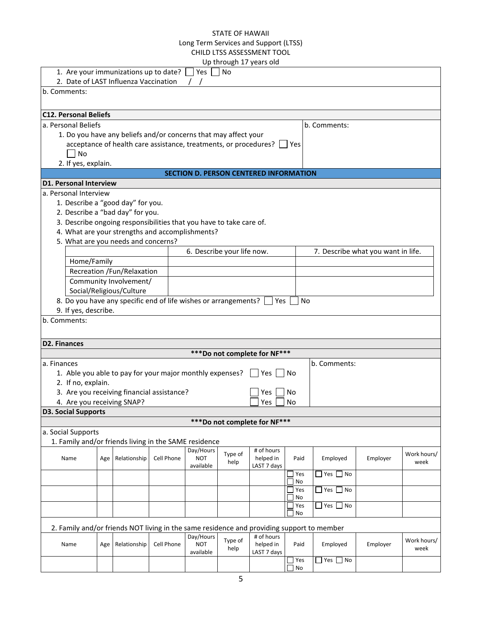|                                                                                           |     |                                                                  |            |                            |         | Up through 17 years old                       |    |            |                      |                                    |             |
|-------------------------------------------------------------------------------------------|-----|------------------------------------------------------------------|------------|----------------------------|---------|-----------------------------------------------|----|------------|----------------------|------------------------------------|-------------|
| 1. Are your immunizations up to date?                                                     |     |                                                                  |            | Yes                        | No      |                                               |    |            |                      |                                    |             |
| 2. Date of LAST Influenza Vaccination<br>b. Comments:                                     |     |                                                                  |            |                            |         |                                               |    |            |                      |                                    |             |
|                                                                                           |     |                                                                  |            |                            |         |                                               |    |            |                      |                                    |             |
| <b>C12. Personal Beliefs</b>                                                              |     |                                                                  |            |                            |         |                                               |    |            |                      |                                    |             |
| a. Personal Beliefs                                                                       |     |                                                                  |            |                            |         |                                               |    |            | b. Comments:         |                                    |             |
|                                                                                           |     | 1. Do you have any beliefs and/or concerns that may affect your  |            |                            |         |                                               |    |            |                      |                                    |             |
|                                                                                           |     | acceptance of health care assistance, treatments, or procedures? |            |                            |         |                                               |    | Yes        |                      |                                    |             |
| No                                                                                        |     |                                                                  |            |                            |         |                                               |    |            |                      |                                    |             |
| 2. If yes, explain.                                                                       |     |                                                                  |            |                            |         |                                               |    |            |                      |                                    |             |
|                                                                                           |     |                                                                  |            |                            |         | <b>SECTION D. PERSON CENTERED INFORMATION</b> |    |            |                      |                                    |             |
| <b>D1. Personal Interview</b>                                                             |     |                                                                  |            |                            |         |                                               |    |            |                      |                                    |             |
| a. Personal Interview                                                                     |     |                                                                  |            |                            |         |                                               |    |            |                      |                                    |             |
| 1. Describe a "good day" for you.                                                         |     |                                                                  |            |                            |         |                                               |    |            |                      |                                    |             |
| 2. Describe a "bad day" for you.                                                          |     |                                                                  |            |                            |         |                                               |    |            |                      |                                    |             |
| 3. Describe ongoing responsibilities that you have to take care of.                       |     |                                                                  |            |                            |         |                                               |    |            |                      |                                    |             |
| 4. What are your strengths and accomplishments?                                           |     |                                                                  |            |                            |         |                                               |    |            |                      |                                    |             |
| 5. What are you needs and concerns?                                                       |     |                                                                  |            |                            |         |                                               |    |            |                      |                                    |             |
|                                                                                           |     |                                                                  |            | 6. Describe your life now. |         |                                               |    |            |                      | 7. Describe what you want in life. |             |
| Home/Family                                                                               |     |                                                                  |            |                            |         |                                               |    |            |                      |                                    |             |
|                                                                                           |     | Recreation /Fun/Relaxation                                       |            |                            |         |                                               |    |            |                      |                                    |             |
|                                                                                           |     | Community Involvement/                                           |            |                            |         |                                               |    |            |                      |                                    |             |
|                                                                                           |     | Social/Religious/Culture                                         |            |                            |         |                                               |    |            |                      |                                    |             |
| 8. Do you have any specific end of life wishes or arrangements?                           |     |                                                                  |            |                            |         | Yes                                           |    | No         |                      |                                    |             |
| 9. If yes, describe.                                                                      |     |                                                                  |            |                            |         |                                               |    |            |                      |                                    |             |
| b. Comments:                                                                              |     |                                                                  |            |                            |         |                                               |    |            |                      |                                    |             |
|                                                                                           |     |                                                                  |            |                            |         |                                               |    |            |                      |                                    |             |
| <b>D2. Finances</b>                                                                       |     |                                                                  |            |                            |         |                                               |    |            |                      |                                    |             |
|                                                                                           |     |                                                                  |            |                            |         | *** Do not complete for NF***                 |    |            |                      |                                    |             |
| a. Finances                                                                               |     |                                                                  |            |                            |         |                                               |    |            | b. Comments:         |                                    |             |
| 1. Able you able to pay for your major monthly expenses?                                  |     |                                                                  |            |                            |         | Yes                                           | No |            |                      |                                    |             |
| 2. If no, explain.                                                                        |     |                                                                  |            |                            |         |                                               |    |            |                      |                                    |             |
| 3. Are you receiving financial assistance?                                                |     |                                                                  |            |                            |         | Yes                                           | No |            |                      |                                    |             |
| 4. Are you receiving SNAP?                                                                |     |                                                                  |            |                            |         | Yes                                           | No |            |                      |                                    |             |
| <b>D3. Social Supports</b>                                                                |     |                                                                  |            |                            |         |                                               |    |            |                      |                                    |             |
|                                                                                           |     |                                                                  |            |                            |         | *** Do not complete for NF***                 |    |            |                      |                                    |             |
| a. Social Supports                                                                        |     |                                                                  |            |                            |         |                                               |    |            |                      |                                    |             |
| 1. Family and/or friends living in the SAME residence                                     |     |                                                                  |            |                            |         |                                               |    |            |                      |                                    |             |
| Name                                                                                      |     |                                                                  |            | Day/Hours<br><b>NOT</b>    | Type of | # of hours                                    |    |            |                      |                                    | Work hours/ |
|                                                                                           | Age | Relationship                                                     | Cell Phone | available                  | help    | helped in<br>LAST 7 days                      |    | Paid       | Employed             | Employer                           | week        |
|                                                                                           |     |                                                                  |            |                            |         |                                               |    | Yes        | $\Box$ Yes $\Box$ No |                                    |             |
|                                                                                           |     |                                                                  |            |                            |         |                                               |    | No         |                      |                                    |             |
|                                                                                           |     |                                                                  |            |                            |         |                                               |    | Yes        | $\Box$ Yes $\Box$ No |                                    |             |
|                                                                                           |     |                                                                  |            |                            |         |                                               |    | No<br>Yes  | $\Box$ Yes<br>∏ No   |                                    |             |
|                                                                                           |     |                                                                  |            |                            |         |                                               |    | No         |                      |                                    |             |
|                                                                                           |     |                                                                  |            |                            |         |                                               |    |            |                      |                                    |             |
| 2. Family and/or friends NOT living in the same residence and providing support to member |     |                                                                  |            | Day/Hours                  |         | # of hours                                    |    |            |                      |                                    |             |
| Name                                                                                      | Age | Relationship                                                     | Cell Phone | <b>NOT</b>                 | Type of | helped in                                     |    | Paid       | Employed             | Employer                           | Work hours/ |
|                                                                                           |     |                                                                  |            | available                  | help    | LAST 7 days                                   |    |            |                      |                                    | week        |
|                                                                                           |     |                                                                  |            |                            |         |                                               |    | $\Box$ Yes | $\Box$ Yes $\Box$ No |                                    |             |
|                                                                                           |     |                                                                  |            |                            |         |                                               |    | No         |                      |                                    |             |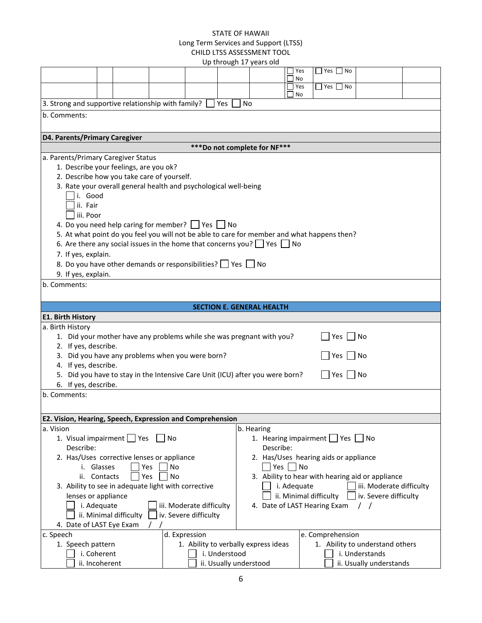|                                                                                                                               |                                                                                                         |                                                                                             |           |               |               |           | Up through 17 years old                                  |  |                  |                      |                                 |  |
|-------------------------------------------------------------------------------------------------------------------------------|---------------------------------------------------------------------------------------------------------|---------------------------------------------------------------------------------------------|-----------|---------------|---------------|-----------|----------------------------------------------------------|--|------------------|----------------------|---------------------------------|--|
|                                                                                                                               |                                                                                                         |                                                                                             |           |               |               |           |                                                          |  | Yes              | $Yes$ No             |                                 |  |
|                                                                                                                               |                                                                                                         |                                                                                             |           |               |               |           |                                                          |  | No<br>$\Box$ Yes | $\Box$ Yes $\Box$ No |                                 |  |
|                                                                                                                               |                                                                                                         |                                                                                             |           |               |               |           |                                                          |  | No               |                      |                                 |  |
| 3. Strong and supportive relationship with family?                                                                            |                                                                                                         |                                                                                             |           |               | Yes           | <b>No</b> |                                                          |  |                  |                      |                                 |  |
| b. Comments:                                                                                                                  |                                                                                                         |                                                                                             |           |               |               |           |                                                          |  |                  |                      |                                 |  |
|                                                                                                                               |                                                                                                         |                                                                                             |           |               |               |           |                                                          |  |                  |                      |                                 |  |
| D4. Parents/Primary Caregiver                                                                                                 |                                                                                                         |                                                                                             |           |               |               |           |                                                          |  |                  |                      |                                 |  |
|                                                                                                                               |                                                                                                         |                                                                                             |           |               |               |           | *** Do not complete for NF***                            |  |                  |                      |                                 |  |
| a. Parents/Primary Caregiver Status                                                                                           |                                                                                                         |                                                                                             |           |               |               |           |                                                          |  |                  |                      |                                 |  |
|                                                                                                                               |                                                                                                         | 1. Describe your feelings, are you ok?                                                      |           |               |               |           |                                                          |  |                  |                      |                                 |  |
|                                                                                                                               |                                                                                                         | 2. Describe how you take care of yourself.                                                  |           |               |               |           |                                                          |  |                  |                      |                                 |  |
|                                                                                                                               |                                                                                                         | 3. Rate your overall general health and psychological well-being                            |           |               |               |           |                                                          |  |                  |                      |                                 |  |
|                                                                                                                               | i. Good                                                                                                 |                                                                                             |           |               |               |           |                                                          |  |                  |                      |                                 |  |
|                                                                                                                               | ii. Fair                                                                                                |                                                                                             |           |               |               |           |                                                          |  |                  |                      |                                 |  |
|                                                                                                                               | iii. Poor                                                                                               |                                                                                             |           |               |               |           |                                                          |  |                  |                      |                                 |  |
|                                                                                                                               |                                                                                                         | 4. Do you need help caring for member? $\Box$ Yes $\Box$ No                                 |           |               |               |           |                                                          |  |                  |                      |                                 |  |
|                                                                                                                               |                                                                                                         | 5. At what point do you feel you will not be able to care for member and what happens then? |           |               |               |           |                                                          |  |                  |                      |                                 |  |
|                                                                                                                               |                                                                                                         | 6. Are there any social issues in the home that concerns you? $\Box$ Yes $\Box$ No          |           |               |               |           |                                                          |  |                  |                      |                                 |  |
| 7. If yes, explain.                                                                                                           |                                                                                                         |                                                                                             |           |               |               |           |                                                          |  |                  |                      |                                 |  |
|                                                                                                                               | 8. Do you have other demands or responsibilities? Playes No                                             |                                                                                             |           |               |               |           |                                                          |  |                  |                      |                                 |  |
| 9. If yes, explain.                                                                                                           |                                                                                                         |                                                                                             |           |               |               |           |                                                          |  |                  |                      |                                 |  |
| b. Comments:                                                                                                                  |                                                                                                         |                                                                                             |           |               |               |           |                                                          |  |                  |                      |                                 |  |
|                                                                                                                               |                                                                                                         |                                                                                             |           |               |               |           |                                                          |  |                  |                      |                                 |  |
| <b>SECTION E. GENERAL HEALTH</b>                                                                                              |                                                                                                         |                                                                                             |           |               |               |           |                                                          |  |                  |                      |                                 |  |
| <b>E1. Birth History</b>                                                                                                      |                                                                                                         |                                                                                             |           |               |               |           |                                                          |  |                  |                      |                                 |  |
| a. Birth History                                                                                                              |                                                                                                         |                                                                                             |           |               |               |           |                                                          |  |                  |                      |                                 |  |
|                                                                                                                               |                                                                                                         | 1. Did your mother have any problems while she was pregnant with you?                       |           |               |               |           |                                                          |  |                  | Yes                  | No                              |  |
| 2. If yes, describe.                                                                                                          |                                                                                                         |                                                                                             |           |               |               |           |                                                          |  |                  |                      |                                 |  |
| 4. If yes, describe.                                                                                                          |                                                                                                         | 3. Did you have any problems when you were born?                                            |           |               |               |           |                                                          |  |                  | Yes                  | – I No                          |  |
|                                                                                                                               |                                                                                                         | 5. Did you have to stay in the Intensive Care Unit (ICU) after you were born?               |           |               |               |           |                                                          |  |                  | $Yes \tN$            |                                 |  |
| 6. If yes, describe.                                                                                                          |                                                                                                         |                                                                                             |           |               |               |           |                                                          |  |                  |                      |                                 |  |
| b. Comments:                                                                                                                  |                                                                                                         |                                                                                             |           |               |               |           |                                                          |  |                  |                      |                                 |  |
|                                                                                                                               |                                                                                                         |                                                                                             |           |               |               |           |                                                          |  |                  |                      |                                 |  |
|                                                                                                                               |                                                                                                         |                                                                                             |           |               |               |           |                                                          |  |                  |                      |                                 |  |
| E2. Vision, Hearing, Speech, Expression and Comprehension<br>a. Vision                                                        |                                                                                                         |                                                                                             |           |               |               |           |                                                          |  |                  |                      |                                 |  |
|                                                                                                                               |                                                                                                         | 1. Visual impairment   Yes                                                                  | No        |               |               |           | b. Hearing<br>1. Hearing impairment $\Box$ Yes $\Box$ No |  |                  |                      |                                 |  |
| Describe:                                                                                                                     |                                                                                                         |                                                                                             |           |               |               |           | Describe:                                                |  |                  |                      |                                 |  |
|                                                                                                                               |                                                                                                         | 2. Has/Uses corrective lenses or appliance                                                  |           |               |               |           | 2. Has/Uses hearing aids or appliance                    |  |                  |                      |                                 |  |
|                                                                                                                               | i. Glasses                                                                                              |                                                                                             | <b>No</b> |               |               |           |                                                          |  |                  |                      |                                 |  |
|                                                                                                                               | $Yes$ No<br>Yes<br><b>No</b><br>3. Ability to hear with hearing aid or appliance<br>ii. Contacts<br>Yes |                                                                                             |           |               |               |           |                                                          |  |                  |                      |                                 |  |
|                                                                                                                               |                                                                                                         |                                                                                             |           |               |               |           |                                                          |  | i. Adequate      |                      | iii. Moderate difficulty        |  |
| 3. Ability to see in adequate light with corrective<br>ii. Minimal difficulty<br>lenses or appliance<br>iv. Severe difficulty |                                                                                                         |                                                                                             |           |               |               |           |                                                          |  |                  |                      |                                 |  |
| i. Adequate<br>iii. Moderate difficulty<br>4. Date of LAST Hearing Exam<br>$\prime$ $\prime$                                  |                                                                                                         |                                                                                             |           |               |               |           |                                                          |  |                  |                      |                                 |  |
| ii. Minimal difficulty<br>iv. Severe difficulty                                                                               |                                                                                                         |                                                                                             |           |               |               |           |                                                          |  |                  |                      |                                 |  |
| 4. Date of LAST Eye Exam                                                                                                      |                                                                                                         |                                                                                             |           |               |               |           |                                                          |  |                  |                      |                                 |  |
| c. Speech                                                                                                                     |                                                                                                         |                                                                                             |           | d. Expression |               |           |                                                          |  |                  | e. Comprehension     |                                 |  |
| 1. Speech pattern                                                                                                             |                                                                                                         |                                                                                             |           |               |               |           | 1. Ability to verbally express ideas                     |  |                  |                      | 1. Ability to understand others |  |
|                                                                                                                               | i. Coherent                                                                                             |                                                                                             |           |               | i. Understood |           |                                                          |  |                  |                      | i. Understands                  |  |
|                                                                                                                               | ii. Incoherent<br>ii. Usually understood<br>ii. Usually understands                                     |                                                                                             |           |               |               |           |                                                          |  |                  |                      |                                 |  |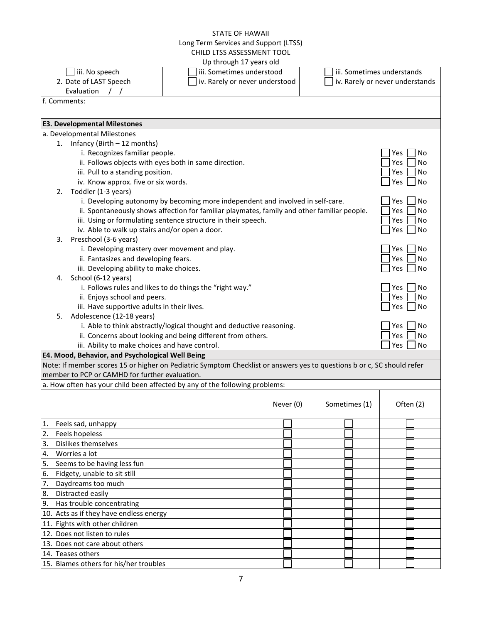|                                       |                                                                                                                                                                          | $\mathcal{L}$ by the bag in $\mathcal{L}$ , $\mathcal{L}$ because because                   |           |               |  |                                 |  |    |
|---------------------------------------|--------------------------------------------------------------------------------------------------------------------------------------------------------------------------|---------------------------------------------------------------------------------------------|-----------|---------------|--|---------------------------------|--|----|
|                                       | iii. No speech                                                                                                                                                           | iii. Sometimes understood                                                                   |           |               |  | iii. Sometimes understands      |  |    |
|                                       | 2. Date of LAST Speech                                                                                                                                                   | iv. Rarely or never understood                                                              |           |               |  | iv. Rarely or never understands |  |    |
|                                       | Evaluation                                                                                                                                                               |                                                                                             |           |               |  |                                 |  |    |
| f. Comments:                          |                                                                                                                                                                          |                                                                                             |           |               |  |                                 |  |    |
|                                       |                                                                                                                                                                          |                                                                                             |           |               |  |                                 |  |    |
|                                       | <b>E3. Developmental Milestones</b>                                                                                                                                      |                                                                                             |           |               |  |                                 |  |    |
|                                       | a. Developmental Milestones                                                                                                                                              |                                                                                             |           |               |  |                                 |  |    |
|                                       | 1. Infancy (Birth - 12 months)                                                                                                                                           |                                                                                             |           |               |  |                                 |  |    |
| i. Recognizes familiar people.<br>Yes |                                                                                                                                                                          |                                                                                             |           |               |  |                                 |  |    |
|                                       | ii. Follows objects with eyes both in same direction.                                                                                                                    |                                                                                             |           |               |  | Yes                             |  | No |
|                                       | iii. Pull to a standing position.                                                                                                                                        |                                                                                             |           |               |  | Yes                             |  | No |
|                                       | iv. Know approx. five or six words.                                                                                                                                      |                                                                                             |           |               |  | Yes                             |  | No |
| 2.                                    | Toddler (1-3 years)                                                                                                                                                      |                                                                                             |           |               |  |                                 |  |    |
|                                       |                                                                                                                                                                          | i. Developing autonomy by becoming more independent and involved in self-care.              |           |               |  | Yes                             |  | No |
|                                       |                                                                                                                                                                          | ii. Spontaneously shows affection for familiar playmates, family and other familiar people. |           |               |  | Yes                             |  | No |
|                                       |                                                                                                                                                                          | iii. Using or formulating sentence structure in their speech.                               |           |               |  | Yes                             |  | No |
|                                       | iv. Able to walk up stairs and/or open a door.                                                                                                                           |                                                                                             |           |               |  | Yes                             |  | No |
| 3.                                    | Preschool (3-6 years)                                                                                                                                                    |                                                                                             |           |               |  |                                 |  |    |
|                                       | i. Developing mastery over movement and play.                                                                                                                            |                                                                                             |           |               |  | Yes                             |  | No |
|                                       | ii. Fantasizes and developing fears.                                                                                                                                     |                                                                                             |           |               |  | Yes                             |  | No |
|                                       | iii. Developing ability to make choices.                                                                                                                                 |                                                                                             |           |               |  | Yes                             |  | No |
| 4.                                    | School (6-12 years)                                                                                                                                                      |                                                                                             |           |               |  |                                 |  |    |
|                                       |                                                                                                                                                                          | i. Follows rules and likes to do things the "right way."                                    |           |               |  | Yes                             |  | No |
|                                       | ii. Enjoys school and peers.                                                                                                                                             |                                                                                             |           |               |  | Yes                             |  | No |
|                                       | iii. Have supportive adults in their lives.                                                                                                                              |                                                                                             |           |               |  | Yes                             |  | No |
|                                       | Adolescence (12-18 years)<br>5.                                                                                                                                          |                                                                                             |           |               |  |                                 |  |    |
|                                       |                                                                                                                                                                          | i. Able to think abstractly/logical thought and deductive reasoning.                        |           |               |  | Yes                             |  | No |
|                                       |                                                                                                                                                                          | ii. Concerns about looking and being different from others.                                 |           |               |  | Yes                             |  | No |
|                                       | iii. Ability to make choices and have control.                                                                                                                           |                                                                                             |           |               |  | Yes                             |  | No |
|                                       | E4. Mood, Behavior, and Psychological Well Being                                                                                                                         |                                                                                             |           |               |  |                                 |  |    |
|                                       | Note: If member scores 15 or higher on Pediatric Symptom Checklist or answers yes to questions b or c, SC should refer<br>member to PCP or CAMHD for further evaluation. |                                                                                             |           |               |  |                                 |  |    |
|                                       | a. How often has your child been affected by any of the following problems:                                                                                              |                                                                                             |           |               |  |                                 |  |    |
|                                       |                                                                                                                                                                          |                                                                                             |           |               |  |                                 |  |    |
|                                       |                                                                                                                                                                          |                                                                                             | Never (0) | Sometimes (1) |  | Often (2)                       |  |    |
|                                       |                                                                                                                                                                          |                                                                                             |           |               |  |                                 |  |    |
| 1.                                    | Feels sad, unhappy                                                                                                                                                       |                                                                                             |           |               |  |                                 |  |    |
| 2.                                    | Feels hopeless                                                                                                                                                           |                                                                                             |           |               |  |                                 |  |    |
| 3.                                    | Dislikes themselves                                                                                                                                                      |                                                                                             |           |               |  |                                 |  |    |
| 4.                                    | Worries a lot                                                                                                                                                            |                                                                                             |           |               |  |                                 |  |    |
| 5.                                    | Seems to be having less fun                                                                                                                                              |                                                                                             |           |               |  |                                 |  |    |
| 6.                                    | Fidgety, unable to sit still                                                                                                                                             |                                                                                             |           |               |  |                                 |  |    |
| 7.                                    | Daydreams too much                                                                                                                                                       |                                                                                             |           |               |  |                                 |  |    |
| 8.                                    | Distracted easily                                                                                                                                                        |                                                                                             |           |               |  |                                 |  |    |
| 9.                                    | Has trouble concentrating                                                                                                                                                |                                                                                             |           |               |  |                                 |  |    |
|                                       |                                                                                                                                                                          |                                                                                             |           |               |  |                                 |  |    |
|                                       | 10. Acts as if they have endless energy<br>11. Fights with other children                                                                                                |                                                                                             |           |               |  |                                 |  |    |
|                                       | 12. Does not listen to rules                                                                                                                                             |                                                                                             |           |               |  |                                 |  |    |
|                                       | 13. Does not care about others                                                                                                                                           |                                                                                             |           |               |  |                                 |  |    |
|                                       | 14. Teases others                                                                                                                                                        |                                                                                             |           |               |  |                                 |  |    |
|                                       | 15. Blames others for his/her troubles                                                                                                                                   |                                                                                             |           |               |  |                                 |  |    |
|                                       |                                                                                                                                                                          |                                                                                             |           |               |  |                                 |  |    |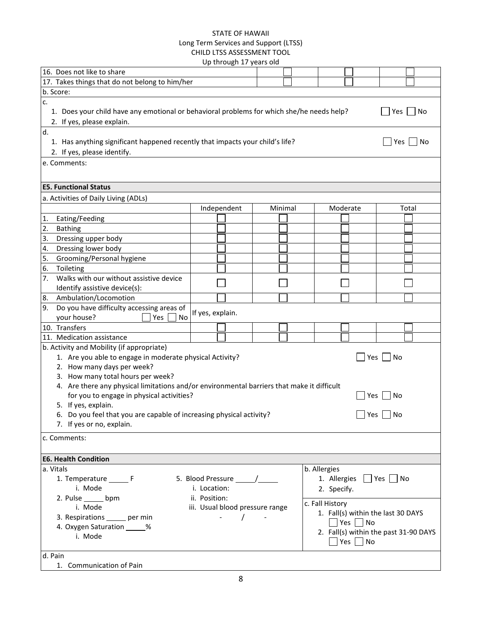| 16. Does not like to share                                                                 |                     |                                 |         |  |                 |                      |                                       |    |
|--------------------------------------------------------------------------------------------|---------------------|---------------------------------|---------|--|-----------------|----------------------|---------------------------------------|----|
| 17. Takes things that do not belong to him/her                                             |                     |                                 |         |  |                 |                      |                                       |    |
| b. Score:                                                                                  |                     |                                 |         |  |                 |                      |                                       |    |
| c.                                                                                         |                     |                                 |         |  |                 |                      |                                       |    |
| 1. Does your child have any emotional or behavioral problems for which she/he needs help?  |                     |                                 |         |  |                 |                      | $\blacksquare$ Yes $\blacksquare$ No  |    |
| 2. If yes, please explain.                                                                 |                     |                                 |         |  |                 |                      |                                       |    |
| d.                                                                                         |                     |                                 |         |  |                 |                      |                                       |    |
| 1. Has anything significant happened recently that impacts your child's life?              |                     |                                 |         |  |                 |                      | Yes                                   | No |
| 2. If yes, please identify.                                                                |                     |                                 |         |  |                 |                      |                                       |    |
| e. Comments:                                                                               |                     |                                 |         |  |                 |                      |                                       |    |
|                                                                                            |                     |                                 |         |  |                 |                      |                                       |    |
|                                                                                            |                     |                                 |         |  |                 |                      |                                       |    |
| <b>E5. Functional Status</b>                                                               |                     |                                 |         |  |                 |                      |                                       |    |
| a. Activities of Daily Living (ADLs)                                                       |                     |                                 |         |  |                 |                      |                                       |    |
|                                                                                            |                     | Independent                     | Minimal |  | Moderate        |                      | Total                                 |    |
| 1.<br>Eating/Feeding                                                                       |                     |                                 |         |  |                 |                      |                                       |    |
| 2.<br><b>Bathing</b>                                                                       |                     |                                 |         |  |                 |                      |                                       |    |
| 3.<br>Dressing upper body                                                                  |                     |                                 |         |  |                 |                      |                                       |    |
| Dressing lower body<br>4.                                                                  |                     |                                 |         |  |                 |                      |                                       |    |
| 5.<br>Grooming/Personal hygiene                                                            |                     |                                 |         |  |                 |                      |                                       |    |
| 6.<br>Toileting                                                                            |                     |                                 |         |  |                 |                      |                                       |    |
| Walks with our without assistive device<br>7.                                              |                     |                                 |         |  |                 |                      |                                       |    |
| Identify assistive device(s):                                                              |                     |                                 |         |  |                 |                      |                                       |    |
| Ambulation/Locomotion<br>8.                                                                |                     |                                 |         |  |                 |                      |                                       |    |
| Do you have difficulty accessing areas of<br>9.                                            |                     |                                 |         |  |                 |                      |                                       |    |
| your house?<br><b>Yes</b><br>No                                                            | If yes, explain.    |                                 |         |  |                 |                      |                                       |    |
| 10. Transfers                                                                              |                     |                                 |         |  |                 |                      |                                       |    |
| 11. Medication assistance                                                                  |                     |                                 |         |  |                 |                      |                                       |    |
| b. Activity and Mobility (if appropriate)                                                  |                     |                                 |         |  |                 |                      |                                       |    |
| 1. Are you able to engage in moderate physical Activity?                                   |                     |                                 |         |  |                 | Yes                  | No                                    |    |
| 2. How many days per week?                                                                 |                     |                                 |         |  |                 |                      |                                       |    |
| 3. How many total hours per week?                                                          |                     |                                 |         |  |                 |                      |                                       |    |
| 4. Are there any physical limitations and/or environmental barriers that make it difficult |                     |                                 |         |  |                 |                      |                                       |    |
| for you to engage in physical activities?                                                  |                     |                                 |         |  |                 | Yes                  | No                                    |    |
| 5. If yes, explain.                                                                        |                     |                                 |         |  |                 |                      |                                       |    |
| 6. Do you feel that you are capable of increasing physical activity?                       |                     |                                 |         |  |                 | Yes                  | No                                    |    |
| 7. If yes or no, explain.                                                                  |                     |                                 |         |  |                 |                      |                                       |    |
| c. Comments:                                                                               |                     |                                 |         |  |                 |                      |                                       |    |
|                                                                                            |                     |                                 |         |  |                 |                      |                                       |    |
| <b>E6. Health Condition</b>                                                                |                     |                                 |         |  |                 |                      |                                       |    |
| a. Vitals                                                                                  |                     |                                 |         |  | b. Allergies    |                      |                                       |    |
| 1. Temperature _______ F                                                                   |                     |                                 |         |  | 1. Allergies    |                      | $ $   Yes     No                      |    |
| i. Mode                                                                                    | i. Location:        |                                 |         |  |                 |                      |                                       |    |
| 2. Pulse _____ bpm                                                                         | ii. Position:       |                                 |         |  | 2. Specify.     |                      |                                       |    |
| i. Mode                                                                                    |                     | iii. Usual blood pressure range |         |  | c. Fall History |                      |                                       |    |
| 3. Respirations ______ per min                                                             |                     |                                 |         |  |                 |                      | 1. Fall(s) within the last 30 DAYS    |    |
| 4. Oxygen Saturation _____%                                                                |                     |                                 |         |  |                 | $\Box$ Yes $\Box$ No |                                       |    |
| i. Mode                                                                                    |                     |                                 |         |  |                 |                      | 2. Fall(s) within the past 31-90 DAYS |    |
|                                                                                            | Yes $\vert$<br>  No |                                 |         |  |                 |                      |                                       |    |
| d. Pain                                                                                    |                     |                                 |         |  |                 |                      |                                       |    |
| 1. Communication of Pain                                                                   |                     |                                 |         |  |                 |                      |                                       |    |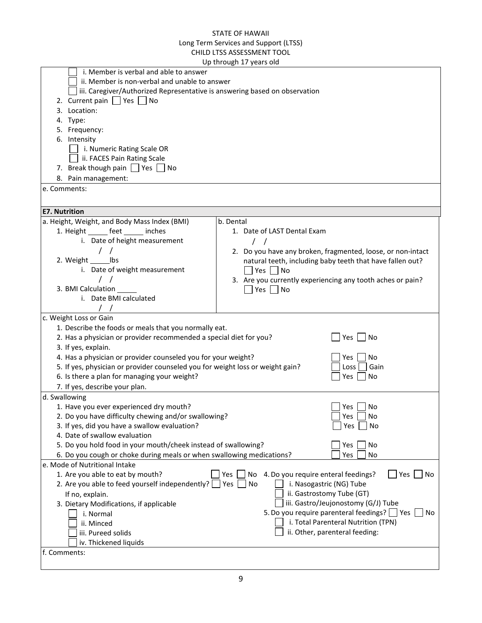|                                                                                                        | Up through 17 years old                                                    |  |  |  |  |  |  |
|--------------------------------------------------------------------------------------------------------|----------------------------------------------------------------------------|--|--|--|--|--|--|
| i. Member is verbal and able to answer                                                                 |                                                                            |  |  |  |  |  |  |
| ii. Member is non-verbal and unable to answer                                                          |                                                                            |  |  |  |  |  |  |
|                                                                                                        | iii. Caregiver/Authorized Representative is answering based on observation |  |  |  |  |  |  |
| 2. Current pain $\Box$ Yes $\Box$ No                                                                   |                                                                            |  |  |  |  |  |  |
| 3. Location:                                                                                           |                                                                            |  |  |  |  |  |  |
| 4. Type:                                                                                               |                                                                            |  |  |  |  |  |  |
| 5. Frequency:                                                                                          |                                                                            |  |  |  |  |  |  |
| 6. Intensity                                                                                           |                                                                            |  |  |  |  |  |  |
| i. Numeric Rating Scale OR                                                                             |                                                                            |  |  |  |  |  |  |
| ii. FACES Pain Rating Scale                                                                            |                                                                            |  |  |  |  |  |  |
| 7. Break though pain $\Box$ Yes $\Box$ No                                                              |                                                                            |  |  |  |  |  |  |
| 8. Pain management:                                                                                    |                                                                            |  |  |  |  |  |  |
|                                                                                                        |                                                                            |  |  |  |  |  |  |
| e. Comments:                                                                                           |                                                                            |  |  |  |  |  |  |
|                                                                                                        |                                                                            |  |  |  |  |  |  |
| <b>E7. Nutrition</b>                                                                                   |                                                                            |  |  |  |  |  |  |
| a. Height, Weight, and Body Mass Index (BMI)                                                           | b. Dental                                                                  |  |  |  |  |  |  |
| 1. Height _______ feet ______ inches                                                                   | 1. Date of LAST Dental Exam                                                |  |  |  |  |  |  |
| i. Date of height measurement                                                                          | $\left  \right $                                                           |  |  |  |  |  |  |
|                                                                                                        | 2. Do you have any broken, fragmented, loose, or non-intact                |  |  |  |  |  |  |
| 2. Weight ______ lbs                                                                                   | natural teeth, including baby teeth that have fallen out?                  |  |  |  |  |  |  |
| i. Date of weight measurement                                                                          | Yes No                                                                     |  |  |  |  |  |  |
|                                                                                                        | 3. Are you currently experiencing any tooth aches or pain?                 |  |  |  |  |  |  |
| 3. BMI Calculation                                                                                     | Yes No                                                                     |  |  |  |  |  |  |
| i. Date BMI calculated                                                                                 |                                                                            |  |  |  |  |  |  |
|                                                                                                        |                                                                            |  |  |  |  |  |  |
| c. Weight Loss or Gain                                                                                 |                                                                            |  |  |  |  |  |  |
| 1. Describe the foods or meals that you normally eat.                                                  |                                                                            |  |  |  |  |  |  |
| 2. Has a physician or provider recommended a special diet for you?                                     | Yes  <br>  No                                                              |  |  |  |  |  |  |
| 3. If yes, explain.                                                                                    |                                                                            |  |  |  |  |  |  |
| 4. Has a physician or provider counseled you for your weight?                                          | No<br>Yes                                                                  |  |  |  |  |  |  |
| 5. If yes, physician or provider counseled you for weight loss or weight gain?                         | Gain<br>Loss                                                               |  |  |  |  |  |  |
| 6. Is there a plan for managing your weight?                                                           | No<br>Yes                                                                  |  |  |  |  |  |  |
| 7. If yes, describe your plan.                                                                         |                                                                            |  |  |  |  |  |  |
| d. Swallowing                                                                                          |                                                                            |  |  |  |  |  |  |
| 1. Have you ever experienced dry mouth?                                                                | Yes  <br>No                                                                |  |  |  |  |  |  |
| 2. Do you have difficulty chewing and/or swallowing?                                                   | Yes<br>No                                                                  |  |  |  |  |  |  |
|                                                                                                        | Yes<br>No                                                                  |  |  |  |  |  |  |
| 3. If yes, did you have a swallow evaluation?                                                          |                                                                            |  |  |  |  |  |  |
| 4. Date of swallow evaluation                                                                          |                                                                            |  |  |  |  |  |  |
| 5. Do you hold food in your mouth/cheek instead of swallowing?                                         | Yes<br>No                                                                  |  |  |  |  |  |  |
| 6. Do you cough or choke during meals or when swallowing medications?<br>e. Mode of Nutritional Intake | Yes<br>No                                                                  |  |  |  |  |  |  |
|                                                                                                        | Yes                                                                        |  |  |  |  |  |  |
| 1. Are you able to eat by mouth?                                                                       | 4. Do you require enteral feedings?<br>No<br>Yes<br>No<br>No<br>Yes        |  |  |  |  |  |  |
| 2. Are you able to feed yourself independently?                                                        | i. Nasogastric (NG) Tube<br>ii. Gastrostomy Tube (GT)                      |  |  |  |  |  |  |
| If no, explain.                                                                                        |                                                                            |  |  |  |  |  |  |
| 3. Dietary Modifications, if applicable                                                                | iii. Gastro/Jeujonostomy (G/J) Tube                                        |  |  |  |  |  |  |
| i. Normal                                                                                              | 5. Do you require parenteral feedings?   Yes<br>No                         |  |  |  |  |  |  |
| ii. Minced                                                                                             | i. Total Parenteral Nutrition (TPN)                                        |  |  |  |  |  |  |
| iii. Pureed solids                                                                                     | ii. Other, parenteral feeding:                                             |  |  |  |  |  |  |
| iv. Thickened liquids                                                                                  |                                                                            |  |  |  |  |  |  |
| f. Comments:                                                                                           |                                                                            |  |  |  |  |  |  |
|                                                                                                        |                                                                            |  |  |  |  |  |  |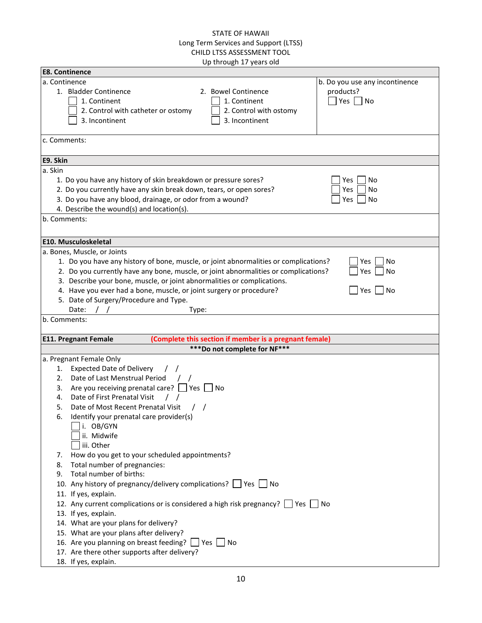| <b>E8. Continence</b> |                                                                                                   |
|-----------------------|---------------------------------------------------------------------------------------------------|
| a. Continence         | b. Do you use any incontinence                                                                    |
|                       | 1. Bladder Continence<br>2. Bowel Continence<br>products?                                         |
|                       | 1. Continent<br>1. Continent<br>Yes $\Box$ No                                                     |
|                       | 2. Control with catheter or ostomy<br>2. Control with ostomy                                      |
|                       | 3. Incontinent<br>3. Incontinent                                                                  |
|                       |                                                                                                   |
| c. Comments:          |                                                                                                   |
|                       |                                                                                                   |
| E9. Skin              |                                                                                                   |
| a. Skin               |                                                                                                   |
|                       | 1. Do you have any history of skin breakdown or pressure sores?<br>No<br>Yes                      |
|                       | 2. Do you currently have any skin break down, tears, or open sores?<br>No<br>Yes                  |
|                       | 3. Do you have any blood, drainage, or odor from a wound?<br>Yes<br>No                            |
|                       | 4. Describe the wound(s) and location(s).                                                         |
| b. Comments:          |                                                                                                   |
|                       |                                                                                                   |
|                       | <b>E10. Musculoskeletal</b>                                                                       |
|                       | a. Bones, Muscle, or Joints                                                                       |
|                       | 1. Do you have any history of bone, muscle, or joint abnormalities or complications?<br>Yes<br>No |
|                       | 2. Do you currently have any bone, muscle, or joint abnormalities or complications?<br>No<br>Yes  |
|                       | 3. Describe your bone, muscle, or joint abnormalities or complications.                           |
|                       | 4. Have you ever had a bone, muscle, or joint surgery or procedure?<br>Yes<br>No                  |
|                       | 5. Date of Surgery/Procedure and Type.                                                            |
|                       | Date:<br>Type:                                                                                    |
| b. Comments:          |                                                                                                   |
|                       |                                                                                                   |
|                       | (Complete this section if member is a pregnant female)<br><b>E11. Pregnant Female</b>             |
|                       | *** Do not complete for NF***                                                                     |
|                       | a. Pregnant Female Only                                                                           |
| 1.                    | <b>Expected Date of Delivery</b>                                                                  |
| 2.                    | Date of Last Menstrual Period                                                                     |
| 3.                    | Are you receiving prenatal care? $\Box$ Yes $\Box$ No                                             |
| 4.                    | Date of First Prenatal Visit                                                                      |
| 5.                    | Date of Most Recent Prenatal Visit                                                                |
| 6.                    | Identify your prenatal care provider(s)                                                           |
|                       | i. OB/GYN                                                                                         |
|                       | ii. Midwife                                                                                       |
|                       | iii. Other                                                                                        |
| 7.                    | How do you get to your scheduled appointments?                                                    |
| 8.                    | Total number of pregnancies:                                                                      |
| 9.                    | Total number of births:                                                                           |
|                       | 10. Any history of pregnancy/delivery complications? Ves No                                       |
|                       | 11. If yes, explain.                                                                              |
|                       | 12. Any current complications or is considered a high risk pregnancy? Ves No                      |
|                       | 13. If yes, explain.                                                                              |
|                       | 14. What are your plans for delivery?                                                             |
|                       | 15. What are your plans after delivery?                                                           |
|                       | 16. Are you planning on breast feeding?   Yes   No                                                |
|                       | 17. Are there other supports after delivery?                                                      |
|                       | 18. If yes, explain.                                                                              |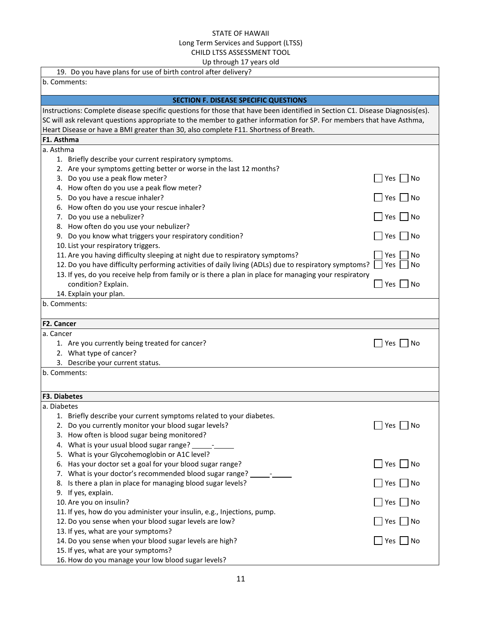| 19. Do you have plans for use of birth control after delivery?                                                              |               |
|-----------------------------------------------------------------------------------------------------------------------------|---------------|
| b. Comments:                                                                                                                |               |
| <b>SECTION F. DISEASE SPECIFIC QUESTIONS</b>                                                                                |               |
| Instructions: Complete disease specific questions for those that have been identified in Section C1. Disease Diagnosis(es). |               |
| SC will ask relevant questions appropriate to the member to gather information for SP. For members that have Asthma,        |               |
| Heart Disease or have a BMI greater than 30, also complete F11. Shortness of Breath.                                        |               |
| F1. Asthma                                                                                                                  |               |
| a. Asthma                                                                                                                   |               |
| 1. Briefly describe your current respiratory symptoms.                                                                      |               |
| 2. Are your symptoms getting better or worse in the last 12 months?                                                         |               |
| 3. Do you use a peak flow meter?                                                                                            | No<br>Yes     |
| 4. How often do you use a peak flow meter?                                                                                  |               |
| 5. Do you have a rescue inhaler?                                                                                            | No<br>Yes     |
| 6. How often do you use your rescue inhaler?                                                                                |               |
| 7. Do you use a nebulizer?                                                                                                  | Yes  <br>  No |
| 8. How often do you use your nebulizer?                                                                                     |               |
| 9. Do you know what triggers your respiratory condition?                                                                    | No<br>Yes     |
| 10. List your respiratory triggers.                                                                                         |               |
| 11. Are you having difficulty sleeping at night due to respiratory symptoms?                                                | No<br>Yes     |
| 12. Do you have difficulty performing activities of daily living (ADLs) due to respiratory symptoms?                        | Yes<br>No     |
| 13. If yes, do you receive help from family or is there a plan in place for managing your respiratory                       |               |
| condition? Explain.                                                                                                         | Yes<br>No     |
| 14. Explain your plan.                                                                                                      |               |
| b. Comments:                                                                                                                |               |
|                                                                                                                             |               |
| F2. Cancer                                                                                                                  |               |
| a. Cancer                                                                                                                   |               |
| 1. Are you currently being treated for cancer?                                                                              | No<br>Yes     |
| 2. What type of cancer?                                                                                                     |               |
| 3. Describe your current status.                                                                                            |               |
| b. Comments:                                                                                                                |               |
|                                                                                                                             |               |
| <b>F3. Diabetes</b>                                                                                                         |               |
| a. Diabetes                                                                                                                 |               |
| 1. Briefly describe your current symptoms related to your diabetes.                                                         |               |
| 2. Do you currently monitor your blood sugar levels?                                                                        | Yes<br>No     |
| 3. How often is blood sugar being monitored?                                                                                |               |
| 4. What is your usual blood sugar range? _                                                                                  |               |
| 5. What is your Glycohemoglobin or A1C level?                                                                               |               |
| 6. Has your doctor set a goal for your blood sugar range?                                                                   | Yes  <br>  No |
| 7. What is your doctor's recommended blood sugar range? _________                                                           |               |
| 8. Is there a plan in place for managing blood sugar levels?                                                                | Yes $\Box$ No |
| 9. If yes, explain.                                                                                                         |               |
| 10. Are you on insulin?                                                                                                     | $Yes \tN$     |
| 11. If yes, how do you administer your insulin, e.g., Injections, pump.                                                     |               |
| 12. Do you sense when your blood sugar levels are low?                                                                      | Yes $\Box$ No |
| 13. If yes, what are your symptoms?<br>14. Do you sense when your blood sugar levels are high?                              |               |
|                                                                                                                             |               |
|                                                                                                                             | Yes $\Box$ No |
| 15. If yes, what are your symptoms?<br>16. How do you manage your low blood sugar levels?                                   |               |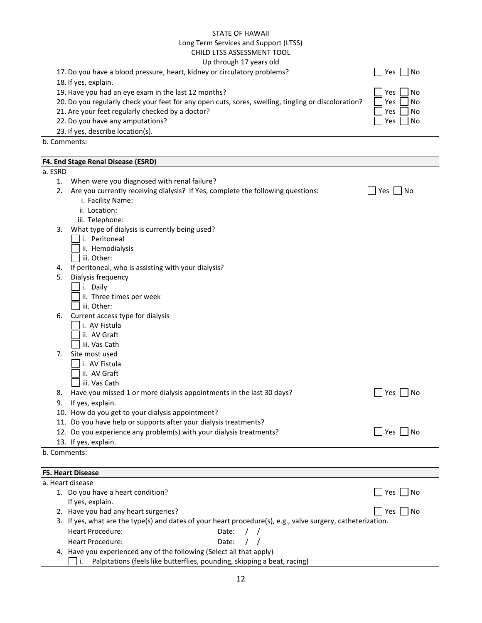|              | Up through 17 years old                                                                                     |              |
|--------------|-------------------------------------------------------------------------------------------------------------|--------------|
|              | 17. Do you have a blood pressure, heart, kidney or circulatory problems?                                    | No<br>Yes    |
|              | 18. If yes, explain.                                                                                        |              |
|              | 19. Have you had an eye exam in the last 12 months?                                                         | No<br>Yes    |
|              | 20. Do you regularly check your feet for any open cuts, sores, swelling, tingling or discoloration?         | Yes<br>No    |
|              | 21. Are your feet regularly checked by a doctor?                                                            | Yes<br>No    |
|              | 22. Do you have any amputations?                                                                            | Yes<br>No    |
|              | 23. If yes, describe location(s).                                                                           |              |
| b. Comments: |                                                                                                             |              |
|              |                                                                                                             |              |
|              | F4. End Stage Renal Disease (ESRD)                                                                          |              |
| a. ESRD      |                                                                                                             |              |
| 1.           | When were you diagnosed with renal failure?                                                                 |              |
| 2.           | Are you currently receiving dialysis? If Yes, complete the following questions:                             | Yes  <br>No  |
|              | i. Facility Name:                                                                                           |              |
|              | ii. Location:                                                                                               |              |
|              | iii. Telephone:                                                                                             |              |
| 3.           | What type of dialysis is currently being used?                                                              |              |
|              | i. Peritoneal                                                                                               |              |
|              | ii. Hemodialysis                                                                                            |              |
|              | iii. Other:                                                                                                 |              |
| 4.           | If peritoneal, who is assisting with your dialysis?                                                         |              |
| 5.           | Dialysis frequency                                                                                          |              |
|              | i. Daily                                                                                                    |              |
|              | ii. Three times per week                                                                                    |              |
|              | iii. Other:                                                                                                 |              |
| 6.           | Current access type for dialysis                                                                            |              |
|              | i. AV Fistula                                                                                               |              |
|              | ii. AV Graft                                                                                                |              |
|              | iii. Vas Cath                                                                                               |              |
| 7.           | Site most used                                                                                              |              |
|              | i. AV Fistula                                                                                               |              |
|              | ii. AV Graft                                                                                                |              |
|              | iii. Vas Cath                                                                                               |              |
| 8.           | Have you missed 1 or more dialysis appointments in the last 30 days?                                        | Yes  <br>No  |
| 9.           | If yes, explain.                                                                                            |              |
|              | 10. How do you get to your dialysis appointment?                                                            |              |
|              | 11. Do you have help or supports after your dialysis treatments?                                            |              |
|              | 12. Do you experience any problem(s) with your dialysis treatments?                                         | Yes  <br>∣No |
|              | 13. If yes, explain.                                                                                        |              |
| b. Comments: |                                                                                                             |              |
|              |                                                                                                             |              |
|              | <b>F5. Heart Disease</b>                                                                                    |              |
|              | a. Heart disease                                                                                            |              |
|              | 1. Do you have a heart condition?                                                                           | Yes<br>No    |
|              | If yes, explain.                                                                                            |              |
|              | 2. Have you had any heart surgeries?                                                                        | Yes<br>  No  |
|              | 3. If yes, what are the type(s) and dates of your heart procedure(s), e.g., valve surgery, catheterization. |              |
|              | Heart Procedure:<br>Date:                                                                                   |              |
|              | <b>Heart Procedure:</b><br>Date:                                                                            |              |
|              | 4. Have you experienced any of the following (Select all that apply)                                        |              |
|              | Palpitations (feels like butterflies, pounding, skipping a beat, racing)<br>i.                              |              |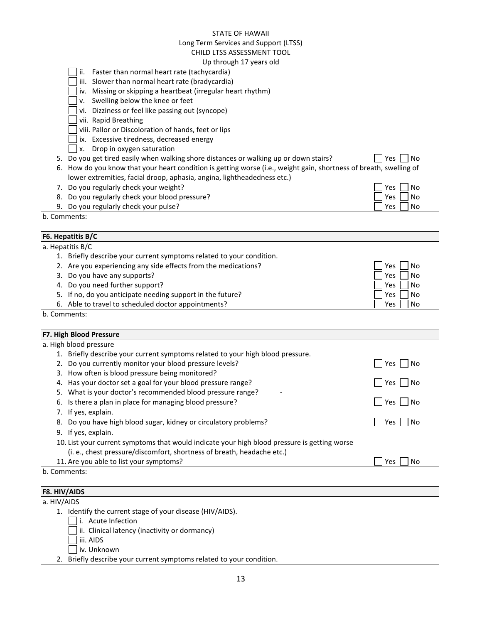|                             | Up through 17 years old                                                                                            |             |
|-----------------------------|--------------------------------------------------------------------------------------------------------------------|-------------|
|                             | Faster than normal heart rate (tachycardia)<br>ii.                                                                 |             |
|                             | iii. Slower than normal heart rate (bradycardia)                                                                   |             |
|                             | iv. Missing or skipping a heartbeat (irregular heart rhythm)                                                       |             |
|                             | v. Swelling below the knee or feet                                                                                 |             |
|                             | vi. Dizziness or feel like passing out (syncope)                                                                   |             |
|                             | vii. Rapid Breathing                                                                                               |             |
|                             | viii. Pallor or Discoloration of hands, feet or lips                                                               |             |
|                             | ix. Excessive tiredness, decreased energy                                                                          |             |
|                             | Drop in oxygen saturation<br><b>x.</b>                                                                             |             |
|                             | 5. Do you get tired easily when walking shore distances or walking up or down stairs?                              | Yes<br>No   |
|                             | 6. How do you know that your heart condition is getting worse (i.e., weight gain, shortness of breath, swelling of |             |
|                             | lower extremities, facial droop, aphasia, angina, lightheadedness etc.)                                            |             |
|                             | 7. Do you regularly check your weight?                                                                             | Yes<br>No   |
|                             | 8. Do you regularly check your blood pressure?                                                                     | Yes<br>No   |
|                             | 9. Do you regularly check your pulse?                                                                              | Yes<br>No   |
|                             | b. Comments:                                                                                                       |             |
|                             |                                                                                                                    |             |
|                             | F6. Hepatitis B/C                                                                                                  |             |
|                             | a. Hepatitis B/C                                                                                                   |             |
|                             | 1. Briefly describe your current symptoms related to your condition.                                               |             |
|                             | 2. Are you experiencing any side effects from the medications?                                                     | Yes<br>No   |
|                             | 3. Do you have any supports?                                                                                       | No<br>Yes   |
|                             | 4. Do you need further support?                                                                                    | Yes<br>No   |
|                             | 5. If no, do you anticipate needing support in the future?                                                         | Yes<br>No   |
|                             | 6. Able to travel to scheduled doctor appointments?                                                                | Yes<br>No   |
|                             |                                                                                                                    |             |
|                             | b. Comments:                                                                                                       |             |
|                             |                                                                                                                    |             |
|                             | F7. High Blood Pressure                                                                                            |             |
|                             | a. High blood pressure                                                                                             |             |
|                             | 1. Briefly describe your current symptoms related to your high blood pressure.                                     |             |
|                             | 2. Do you currently monitor your blood pressure levels?                                                            | Yes<br>No   |
|                             | 3. How often is blood pressure being monitored?                                                                    |             |
|                             | 4. Has your doctor set a goal for your blood pressure range?                                                       | No<br>Yes   |
|                             | 5. What is your doctor's recommended blood pressure range?                                                         |             |
|                             | 6. Is there a plan in place for managing blood pressure?                                                           | Yes  <br>No |
|                             | 7. If yes, explain.                                                                                                |             |
|                             | 8. Do you have high blood sugar, kidney or circulatory problems?                                                   | No<br>Yes   |
|                             | 9. If yes, explain.                                                                                                |             |
|                             | 10. List your current symptoms that would indicate your high blood pressure is getting worse                       |             |
|                             | (i. e., chest pressure/discomfort, shortness of breath, headache etc.)                                             |             |
|                             | 11. Are you able to list your symptoms?                                                                            | Yes<br>No   |
|                             | b. Comments:                                                                                                       |             |
|                             |                                                                                                                    |             |
|                             |                                                                                                                    |             |
|                             |                                                                                                                    |             |
|                             | 1. Identify the current stage of your disease (HIV/AIDS).                                                          |             |
| F8. HIV/AIDS<br>a. HIV/AIDS | i. Acute Infection                                                                                                 |             |
|                             | ii. Clinical latency (inactivity or dormancy)                                                                      |             |
|                             | iii. AIDS<br>iv. Unknown                                                                                           |             |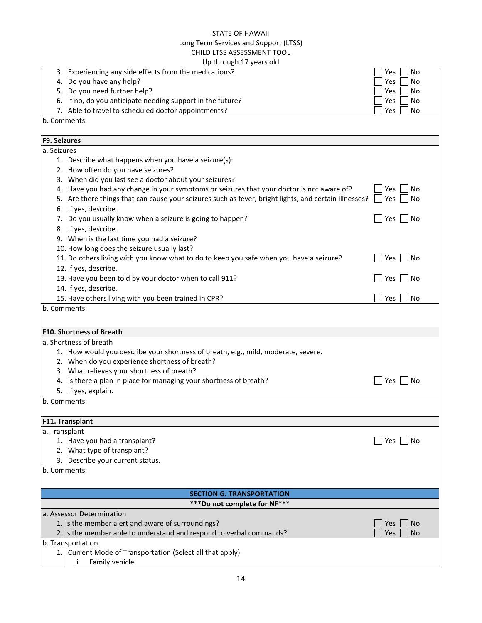| Up through 17 years old                                                                                                                                                                            |                               |
|----------------------------------------------------------------------------------------------------------------------------------------------------------------------------------------------------|-------------------------------|
| 3. Experiencing any side effects from the medications?                                                                                                                                             | Yes<br>No                     |
| 4. Do you have any help?                                                                                                                                                                           | Yes<br>No                     |
| 5. Do you need further help?                                                                                                                                                                       | Yes<br>No                     |
| 6. If no, do you anticipate needing support in the future?                                                                                                                                         | Yes<br>No                     |
| 7. Able to travel to scheduled doctor appointments?                                                                                                                                                | Yes<br>No                     |
| b. Comments:                                                                                                                                                                                       |                               |
|                                                                                                                                                                                                    |                               |
| <b>F9. Seizures</b>                                                                                                                                                                                |                               |
| a. Seizures                                                                                                                                                                                        |                               |
| 1. Describe what happens when you have a seizure(s):                                                                                                                                               |                               |
| 2. How often do you have seizures?                                                                                                                                                                 |                               |
| 3. When did you last see a doctor about your seizures?                                                                                                                                             |                               |
| 4. Have you had any change in your symptoms or seizures that your doctor is not aware of?<br>5. Are there things that can cause your seizures such as fever, bright lights, and certain illnesses? | Yes<br>No<br><b>Yes</b><br>No |
|                                                                                                                                                                                                    |                               |
| 6. If yes, describe.<br>7. Do you usually know when a seizure is going to happen?                                                                                                                  | Yes<br>l No                   |
| 8. If yes, describe.                                                                                                                                                                               |                               |
| 9. When is the last time you had a seizure?                                                                                                                                                        |                               |
| 10. How long does the seizure usually last?                                                                                                                                                        |                               |
| 11. Do others living with you know what to do to keep you safe when you have a seizure?                                                                                                            | Yes $\Box$<br>No              |
| 12. If yes, describe.                                                                                                                                                                              |                               |
| 13. Have you been told by your doctor when to call 911?                                                                                                                                            | Yes<br>No                     |
| 14. If yes, describe.                                                                                                                                                                              |                               |
| 15. Have others living with you been trained in CPR?                                                                                                                                               | No<br>Yes                     |
| b. Comments:                                                                                                                                                                                       |                               |
|                                                                                                                                                                                                    |                               |
|                                                                                                                                                                                                    |                               |
| <b>F10. Shortness of Breath</b>                                                                                                                                                                    |                               |
| a. Shortness of breath                                                                                                                                                                             |                               |
| 1. How would you describe your shortness of breath, e.g., mild, moderate, severe.<br>2. When do you experience shortness of breath?                                                                |                               |
| 3. What relieves your shortness of breath?                                                                                                                                                         |                               |
| 4. Is there a plan in place for managing your shortness of breath?                                                                                                                                 | Yes<br>No                     |
| 5. If yes, explain.                                                                                                                                                                                |                               |
| b. Comments:                                                                                                                                                                                       |                               |
|                                                                                                                                                                                                    |                               |
| F11. Transplant                                                                                                                                                                                    |                               |
| a. Transplant                                                                                                                                                                                      |                               |
| 1. Have you had a transplant?                                                                                                                                                                      | $Yes \tN$                     |
| 2. What type of transplant?                                                                                                                                                                        |                               |
| 3. Describe your current status.                                                                                                                                                                   |                               |
| b. Comments:                                                                                                                                                                                       |                               |
|                                                                                                                                                                                                    |                               |
| <b>SECTION G. TRANSPORTATION</b>                                                                                                                                                                   |                               |
| *** Do not complete for NF***                                                                                                                                                                      |                               |
| a. Assessor Determination                                                                                                                                                                          |                               |
| 1. Is the member alert and aware of surroundings?                                                                                                                                                  | <b>No</b><br>Yes              |
| 2. Is the member able to understand and respond to verbal commands?                                                                                                                                | Yes<br><b>No</b>              |
| b. Transportation                                                                                                                                                                                  |                               |
| 1. Current Mode of Transportation (Select all that apply)                                                                                                                                          |                               |
| Family vehicle<br>i.                                                                                                                                                                               |                               |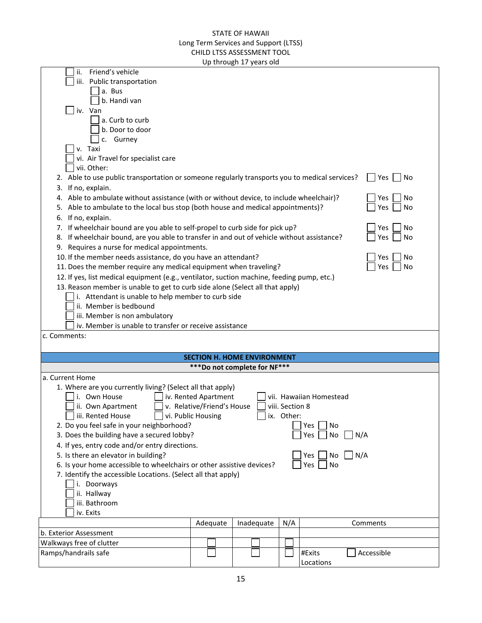|                                                                                                                                                                                                                                                                                                                                                                                                                                                                                                                                                                                                                                                                                                                                                                                                                                                                                                                                                                                                              |                                               | Up through 17 years old |     |                         |                                                                                         |  |
|--------------------------------------------------------------------------------------------------------------------------------------------------------------------------------------------------------------------------------------------------------------------------------------------------------------------------------------------------------------------------------------------------------------------------------------------------------------------------------------------------------------------------------------------------------------------------------------------------------------------------------------------------------------------------------------------------------------------------------------------------------------------------------------------------------------------------------------------------------------------------------------------------------------------------------------------------------------------------------------------------------------|-----------------------------------------------|-------------------------|-----|-------------------------|-----------------------------------------------------------------------------------------|--|
| Friend's vehicle<br>ii.<br>iii. Public transportation<br>a. Bus<br>b. Handi van<br>iv. Van<br>a. Curb to curb<br>b. Door to door<br>c. Gurney<br>v. Taxi<br>vi. Air Travel for specialist care<br>vii. Other:<br>2. Able to use public transportation or someone regularly transports you to medical services?<br>3. If no, explain.<br>4. Able to ambulate without assistance (with or without device, to include wheelchair)?<br>5. Able to ambulate to the local bus stop (both house and medical appointments)?<br>6. If no, explain.<br>7. If wheelchair bound are you able to self-propel to curb side for pick up?<br>8. If wheelchair bound, are you able to transfer in and out of vehicle without assistance?<br>9. Requires a nurse for medical appointments.<br>10. If the member needs assistance, do you have an attendant?<br>11. Does the member require any medical equipment when traveling?<br>12. If yes, list medical equipment (e.g., ventilator, suction machine, feeding pump, etc.) |                                               |                         |     |                         | Yes<br>No<br>Yes<br>No<br>No<br>Yes<br>No<br>Yes<br>No<br>Yes<br>Yes<br>No<br>Yes<br>No |  |
| 13. Reason member is unable to get to curb side alone (Select all that apply)                                                                                                                                                                                                                                                                                                                                                                                                                                                                                                                                                                                                                                                                                                                                                                                                                                                                                                                                |                                               |                         |     |                         |                                                                                         |  |
| i. Attendant is unable to help member to curb side                                                                                                                                                                                                                                                                                                                                                                                                                                                                                                                                                                                                                                                                                                                                                                                                                                                                                                                                                           |                                               |                         |     |                         |                                                                                         |  |
| ii. Member is bedbound                                                                                                                                                                                                                                                                                                                                                                                                                                                                                                                                                                                                                                                                                                                                                                                                                                                                                                                                                                                       |                                               |                         |     |                         |                                                                                         |  |
| iii. Member is non ambulatory                                                                                                                                                                                                                                                                                                                                                                                                                                                                                                                                                                                                                                                                                                                                                                                                                                                                                                                                                                                |                                               |                         |     |                         |                                                                                         |  |
| iv. Member is unable to transfer or receive assistance                                                                                                                                                                                                                                                                                                                                                                                                                                                                                                                                                                                                                                                                                                                                                                                                                                                                                                                                                       |                                               |                         |     |                         |                                                                                         |  |
| c. Comments:                                                                                                                                                                                                                                                                                                                                                                                                                                                                                                                                                                                                                                                                                                                                                                                                                                                                                                                                                                                                 |                                               |                         |     |                         |                                                                                         |  |
|                                                                                                                                                                                                                                                                                                                                                                                                                                                                                                                                                                                                                                                                                                                                                                                                                                                                                                                                                                                                              |                                               |                         |     |                         |                                                                                         |  |
|                                                                                                                                                                                                                                                                                                                                                                                                                                                                                                                                                                                                                                                                                                                                                                                                                                                                                                                                                                                                              | <b>SECTION H. HOME ENVIRONMENT</b>            |                         |     |                         |                                                                                         |  |
| a. Current Home                                                                                                                                                                                                                                                                                                                                                                                                                                                                                                                                                                                                                                                                                                                                                                                                                                                                                                                                                                                              | ***Do not complete for NF***                  |                         |     |                         |                                                                                         |  |
| 1. Where are you currently living? (Select all that apply)                                                                                                                                                                                                                                                                                                                                                                                                                                                                                                                                                                                                                                                                                                                                                                                                                                                                                                                                                   |                                               |                         |     |                         |                                                                                         |  |
| i. Own House                                                                                                                                                                                                                                                                                                                                                                                                                                                                                                                                                                                                                                                                                                                                                                                                                                                                                                                                                                                                 | iv. Rented Apartment                          |                         |     | vii. Hawaiian Homestead |                                                                                         |  |
| ii. Own Apartment                                                                                                                                                                                                                                                                                                                                                                                                                                                                                                                                                                                                                                                                                                                                                                                                                                                                                                                                                                                            | v. Relative/Friend's House<br>viii. Section 8 |                         |     |                         |                                                                                         |  |
| iii. Rented House<br>$\Box$ vi. Public Housing<br>ix. Other:                                                                                                                                                                                                                                                                                                                                                                                                                                                                                                                                                                                                                                                                                                                                                                                                                                                                                                                                                 |                                               |                         |     |                         |                                                                                         |  |
| 2. Do you feel safe in your neighborhood?<br>No<br>Yes                                                                                                                                                                                                                                                                                                                                                                                                                                                                                                                                                                                                                                                                                                                                                                                                                                                                                                                                                       |                                               |                         |     |                         |                                                                                         |  |
| 3. Does the building have a secured lobby?<br>Yes  <br>No<br>N/A<br>4. If yes, entry code and/or entry directions.                                                                                                                                                                                                                                                                                                                                                                                                                                                                                                                                                                                                                                                                                                                                                                                                                                                                                           |                                               |                         |     |                         |                                                                                         |  |
| 5. Is there an elevator in building?<br>$No$ $N/A$<br>Yes                                                                                                                                                                                                                                                                                                                                                                                                                                                                                                                                                                                                                                                                                                                                                                                                                                                                                                                                                    |                                               |                         |     |                         |                                                                                         |  |
| 6. Is your home accessible to wheelchairs or other assistive devices?<br>Yes<br>No                                                                                                                                                                                                                                                                                                                                                                                                                                                                                                                                                                                                                                                                                                                                                                                                                                                                                                                           |                                               |                         |     |                         |                                                                                         |  |
| 7. Identify the accessible Locations. (Select all that apply)                                                                                                                                                                                                                                                                                                                                                                                                                                                                                                                                                                                                                                                                                                                                                                                                                                                                                                                                                |                                               |                         |     |                         |                                                                                         |  |
| i. Doorways                                                                                                                                                                                                                                                                                                                                                                                                                                                                                                                                                                                                                                                                                                                                                                                                                                                                                                                                                                                                  |                                               |                         |     |                         |                                                                                         |  |
| ii. Hallway                                                                                                                                                                                                                                                                                                                                                                                                                                                                                                                                                                                                                                                                                                                                                                                                                                                                                                                                                                                                  |                                               |                         |     |                         |                                                                                         |  |
| iii. Bathroom<br>iv. Exits                                                                                                                                                                                                                                                                                                                                                                                                                                                                                                                                                                                                                                                                                                                                                                                                                                                                                                                                                                                   |                                               |                         |     |                         |                                                                                         |  |
|                                                                                                                                                                                                                                                                                                                                                                                                                                                                                                                                                                                                                                                                                                                                                                                                                                                                                                                                                                                                              | Adequate                                      | Inadequate              | N/A |                         | Comments                                                                                |  |
| b. Exterior Assessment                                                                                                                                                                                                                                                                                                                                                                                                                                                                                                                                                                                                                                                                                                                                                                                                                                                                                                                                                                                       |                                               |                         |     |                         |                                                                                         |  |
| Walkways free of clutter                                                                                                                                                                                                                                                                                                                                                                                                                                                                                                                                                                                                                                                                                                                                                                                                                                                                                                                                                                                     |                                               |                         |     |                         |                                                                                         |  |
| Ramps/handrails safe                                                                                                                                                                                                                                                                                                                                                                                                                                                                                                                                                                                                                                                                                                                                                                                                                                                                                                                                                                                         |                                               |                         |     | #Exits                  | Accessible                                                                              |  |
|                                                                                                                                                                                                                                                                                                                                                                                                                                                                                                                                                                                                                                                                                                                                                                                                                                                                                                                                                                                                              |                                               |                         |     | Locations               |                                                                                         |  |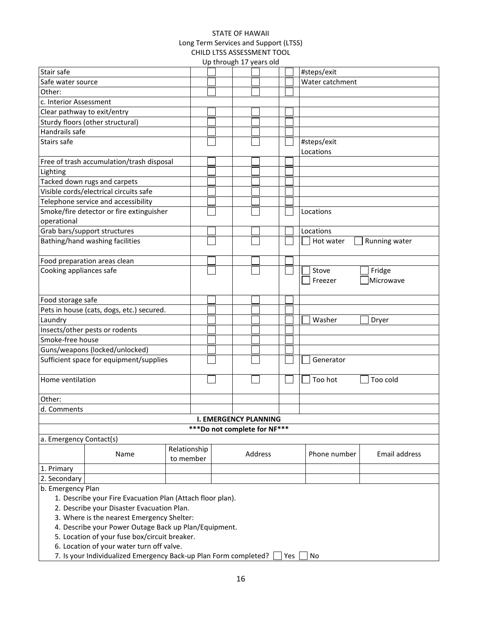|                         |                                                                                                                                                                                                                                                                  |                           | Up through 17 years old       |                 |               |
|-------------------------|------------------------------------------------------------------------------------------------------------------------------------------------------------------------------------------------------------------------------------------------------------------|---------------------------|-------------------------------|-----------------|---------------|
| Stair safe              |                                                                                                                                                                                                                                                                  |                           |                               | #steps/exit     |               |
| Safe water source       |                                                                                                                                                                                                                                                                  |                           |                               | Water catchment |               |
| Other:                  |                                                                                                                                                                                                                                                                  |                           |                               |                 |               |
| c. Interior Assessment  |                                                                                                                                                                                                                                                                  |                           |                               |                 |               |
|                         | Clear pathway to exit/entry                                                                                                                                                                                                                                      |                           |                               |                 |               |
|                         | Sturdy floors (other structural)                                                                                                                                                                                                                                 |                           |                               |                 |               |
| Handrails safe          |                                                                                                                                                                                                                                                                  |                           |                               |                 |               |
| Stairs safe             |                                                                                                                                                                                                                                                                  |                           |                               | #steps/exit     |               |
|                         |                                                                                                                                                                                                                                                                  |                           |                               | Locations       |               |
|                         | Free of trash accumulation/trash disposal                                                                                                                                                                                                                        |                           |                               |                 |               |
| Lighting                |                                                                                                                                                                                                                                                                  |                           |                               |                 |               |
|                         | Tacked down rugs and carpets                                                                                                                                                                                                                                     |                           |                               |                 |               |
|                         | Visible cords/electrical circuits safe                                                                                                                                                                                                                           |                           |                               |                 |               |
|                         | Telephone service and accessibility                                                                                                                                                                                                                              |                           |                               |                 |               |
|                         | Smoke/fire detector or fire extinguisher                                                                                                                                                                                                                         |                           |                               | Locations       |               |
| operational             |                                                                                                                                                                                                                                                                  |                           |                               |                 |               |
|                         | Grab bars/support structures                                                                                                                                                                                                                                     |                           |                               | Locations       |               |
|                         | Bathing/hand washing facilities                                                                                                                                                                                                                                  |                           |                               | Hot water       | Running water |
|                         | Food preparation areas clean                                                                                                                                                                                                                                     |                           |                               |                 |               |
| Cooking appliances safe |                                                                                                                                                                                                                                                                  |                           |                               | Stove           | Fridge        |
|                         |                                                                                                                                                                                                                                                                  |                           |                               | Freezer         | Microwave     |
| Food storage safe       |                                                                                                                                                                                                                                                                  |                           |                               |                 |               |
|                         | Pets in house (cats, dogs, etc.) secured.                                                                                                                                                                                                                        |                           |                               |                 |               |
| Laundry                 |                                                                                                                                                                                                                                                                  |                           |                               | Washer          | Dryer         |
|                         | Insects/other pests or rodents                                                                                                                                                                                                                                   |                           |                               |                 |               |
| Smoke-free house        |                                                                                                                                                                                                                                                                  |                           |                               |                 |               |
|                         | Guns/weapons (locked/unlocked)                                                                                                                                                                                                                                   |                           |                               |                 |               |
|                         | Sufficient space for equipment/supplies                                                                                                                                                                                                                          |                           |                               | Generator       |               |
| Home ventilation        |                                                                                                                                                                                                                                                                  |                           |                               | Too hot         | Too cold      |
| Other:                  |                                                                                                                                                                                                                                                                  |                           |                               |                 |               |
| d. Comments             |                                                                                                                                                                                                                                                                  |                           |                               |                 |               |
|                         |                                                                                                                                                                                                                                                                  |                           | <b>I. EMERGENCY PLANNING</b>  |                 |               |
|                         |                                                                                                                                                                                                                                                                  |                           | *** Do not complete for NF*** |                 |               |
| a. Emergency Contact(s) |                                                                                                                                                                                                                                                                  |                           |                               |                 |               |
|                         | Name                                                                                                                                                                                                                                                             | Relationship<br>to member | Address                       | Phone number    | Email address |
| 1. Primary              |                                                                                                                                                                                                                                                                  |                           |                               |                 |               |
| 2. Secondary            |                                                                                                                                                                                                                                                                  |                           |                               |                 |               |
| b. Emergency Plan       | 1. Describe your Fire Evacuation Plan (Attach floor plan).<br>2. Describe your Disaster Evacuation Plan.<br>3. Where is the nearest Emergency Shelter:<br>4. Describe your Power Outage Back up Plan/Equipment.<br>5. Location of your fuse box/circuit breaker. |                           |                               |                 |               |
|                         | 6. Location of your water turn off valve.<br>7. Is your Individualized Emergency Back-up Plan Form completed?   Yes                                                                                                                                              |                           |                               | No              |               |

7. Is your Individualized Emergency Back-up Plan Form completed? [14] Yes [14] No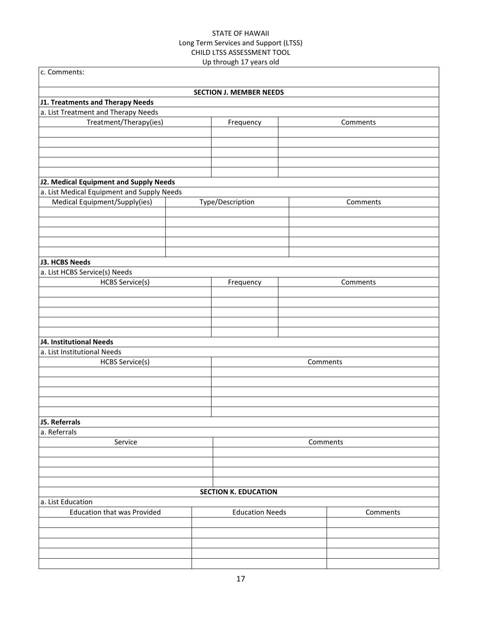| c. Comments:                                                                |          |                                |          |          |  |
|-----------------------------------------------------------------------------|----------|--------------------------------|----------|----------|--|
|                                                                             |          | <b>SECTION J. MEMBER NEEDS</b> |          |          |  |
| J1. Treatments and Therapy Needs                                            |          |                                |          |          |  |
| a. List Treatment and Therapy Needs                                         |          |                                |          |          |  |
| Treatment/Therapy(ies)                                                      |          | Frequency                      |          | Comments |  |
|                                                                             |          |                                |          |          |  |
|                                                                             |          |                                |          |          |  |
|                                                                             |          |                                |          |          |  |
|                                                                             |          |                                |          |          |  |
|                                                                             |          |                                |          |          |  |
| J2. Medical Equipment and Supply Needs                                      |          |                                |          |          |  |
| a. List Medical Equipment and Supply Needs<br>Medical Equipment/Supply(ies) |          | Type/Description               |          |          |  |
|                                                                             |          |                                |          | Comments |  |
|                                                                             |          |                                |          |          |  |
|                                                                             |          |                                |          |          |  |
|                                                                             |          |                                |          |          |  |
|                                                                             |          |                                |          |          |  |
| J3. HCBS Needs                                                              |          |                                |          |          |  |
| a. List HCBS Service(s) Needs                                               |          |                                |          |          |  |
| <b>HCBS Service(s)</b>                                                      |          | Frequency                      |          | Comments |  |
|                                                                             |          |                                |          |          |  |
|                                                                             |          |                                |          |          |  |
|                                                                             |          |                                |          |          |  |
|                                                                             |          |                                |          |          |  |
|                                                                             |          |                                |          |          |  |
| <b>J4. Institutional Needs</b>                                              |          |                                |          |          |  |
| a. List Institutional Needs                                                 |          |                                |          |          |  |
| <b>HCBS Service(s)</b>                                                      |          |                                | Comments |          |  |
|                                                                             |          |                                |          |          |  |
|                                                                             |          |                                |          |          |  |
|                                                                             |          |                                |          |          |  |
|                                                                             |          |                                |          |          |  |
| J5. Referrals                                                               |          |                                |          |          |  |
| a. Referrals                                                                |          |                                |          |          |  |
| Service                                                                     | Comments |                                |          |          |  |
|                                                                             |          |                                |          |          |  |
|                                                                             |          |                                |          |          |  |
|                                                                             |          |                                |          |          |  |
|                                                                             |          |                                |          |          |  |
|                                                                             |          | <b>SECTION K. EDUCATION</b>    |          |          |  |
| a. List Education                                                           |          |                                |          |          |  |
| <b>Education that was Provided</b>                                          |          | <b>Education Needs</b>         |          | Comments |  |
|                                                                             |          |                                |          |          |  |
|                                                                             |          |                                |          |          |  |
|                                                                             |          |                                |          |          |  |
|                                                                             |          |                                |          |          |  |
|                                                                             |          |                                |          |          |  |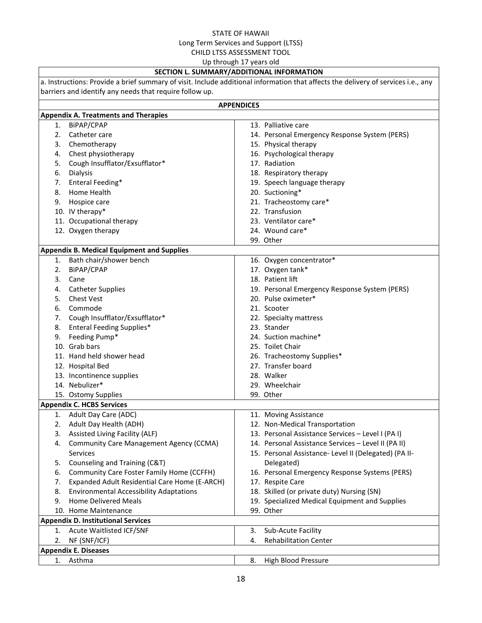Up through 17 years old

# **SECTION L. SUMMARY/ADDITIONAL INFORMATION**

| a. Instructions: Provide a brief summary of visit. Include additional information that affects the delivery of services i.e., any |                                                   |                                                       |  |  |  |  |  |
|-----------------------------------------------------------------------------------------------------------------------------------|---------------------------------------------------|-------------------------------------------------------|--|--|--|--|--|
| barriers and identify any needs that require follow up.                                                                           |                                                   |                                                       |  |  |  |  |  |
| <b>APPENDICES</b>                                                                                                                 |                                                   |                                                       |  |  |  |  |  |
|                                                                                                                                   | <b>Appendix A. Treatments and Therapies</b>       |                                                       |  |  |  |  |  |
| 1.                                                                                                                                | BiPAP/CPAP                                        | 13. Palliative care                                   |  |  |  |  |  |
| 2.                                                                                                                                | Catheter care                                     | 14. Personal Emergency Response System (PERS)         |  |  |  |  |  |
| 3.                                                                                                                                | Chemotherapy                                      | 15. Physical therapy                                  |  |  |  |  |  |
| 4.                                                                                                                                | Chest physiotherapy                               | 16. Psychological therapy                             |  |  |  |  |  |
| 5.                                                                                                                                | Cough Insufflator/Exsufflator*                    | 17. Radiation                                         |  |  |  |  |  |
| 6.                                                                                                                                | Dialysis                                          | 18. Respiratory therapy                               |  |  |  |  |  |
| 7.                                                                                                                                | Enteral Feeding*                                  | 19. Speech language therapy                           |  |  |  |  |  |
| 8.                                                                                                                                | Home Health                                       | 20. Suctioning*                                       |  |  |  |  |  |
| 9.                                                                                                                                | Hospice care                                      | 21. Tracheostomy care*                                |  |  |  |  |  |
|                                                                                                                                   | 10. IV therapy*                                   | 22. Transfusion                                       |  |  |  |  |  |
|                                                                                                                                   | 11. Occupational therapy                          | 23. Ventilator care*                                  |  |  |  |  |  |
|                                                                                                                                   | 12. Oxygen therapy                                | 24. Wound care*                                       |  |  |  |  |  |
|                                                                                                                                   |                                                   | 99. Other                                             |  |  |  |  |  |
|                                                                                                                                   | <b>Appendix B. Medical Equipment and Supplies</b> |                                                       |  |  |  |  |  |
|                                                                                                                                   | 1. Bath chair/shower bench                        | 16. Oxygen concentrator*                              |  |  |  |  |  |
| 2.                                                                                                                                | BiPAP/CPAP                                        | 17. Oxygen tank*                                      |  |  |  |  |  |
| 3.                                                                                                                                | Cane                                              | 18. Patient lift                                      |  |  |  |  |  |
| 4.                                                                                                                                | <b>Catheter Supplies</b>                          | 19. Personal Emergency Response System (PERS)         |  |  |  |  |  |
| 5.                                                                                                                                | <b>Chest Vest</b>                                 | 20. Pulse oximeter*                                   |  |  |  |  |  |
| 6.                                                                                                                                | Commode                                           | 21. Scooter                                           |  |  |  |  |  |
| 7.                                                                                                                                | Cough Insufflator/Exsufflator*                    | 22. Specialty mattress                                |  |  |  |  |  |
| 8.                                                                                                                                | <b>Enteral Feeding Supplies*</b>                  | 23. Stander                                           |  |  |  |  |  |
| 9.                                                                                                                                | Feeding Pump*                                     | 24. Suction machine*                                  |  |  |  |  |  |
|                                                                                                                                   | 10. Grab bars                                     | 25. Toilet Chair                                      |  |  |  |  |  |
|                                                                                                                                   | 11. Hand held shower head                         | 26. Tracheostomy Supplies*                            |  |  |  |  |  |
|                                                                                                                                   | 12. Hospital Bed                                  | 27. Transfer board                                    |  |  |  |  |  |
|                                                                                                                                   | 13. Incontinence supplies                         | 28. Walker                                            |  |  |  |  |  |
|                                                                                                                                   | 14. Nebulizer*                                    | 29. Wheelchair                                        |  |  |  |  |  |
|                                                                                                                                   | 15. Ostomy Supplies                               | 99. Other                                             |  |  |  |  |  |
|                                                                                                                                   | <b>Appendix C. HCBS Services</b>                  |                                                       |  |  |  |  |  |
|                                                                                                                                   | 1. Adult Day Care (ADC)                           | 11. Moving Assistance                                 |  |  |  |  |  |
|                                                                                                                                   | 2. Adult Day Health (ADH)                         | 12. Non-Medical Transportation                        |  |  |  |  |  |
| 3.                                                                                                                                | Assisted Living Facility (ALF)                    | 13. Personal Assistance Services - Level I (PA I)     |  |  |  |  |  |
| 4.                                                                                                                                | <b>Community Care Management Agency (CCMA)</b>    | 14. Personal Assistance Services - Level II (PA II)   |  |  |  |  |  |
|                                                                                                                                   | Services                                          | 15. Personal Assistance- Level II (Delegated) (PA II- |  |  |  |  |  |
| 5.                                                                                                                                | Counseling and Training (C&T)                     | Delegated)                                            |  |  |  |  |  |
| 6.                                                                                                                                | Community Care Foster Family Home (CCFFH)         | 16. Personal Emergency Response Systems (PERS)        |  |  |  |  |  |
| 7.                                                                                                                                | Expanded Adult Residential Care Home (E-ARCH)     | 17. Respite Care                                      |  |  |  |  |  |
| 8.                                                                                                                                | <b>Environmental Accessibility Adaptations</b>    | 18. Skilled (or private duty) Nursing (SN)            |  |  |  |  |  |
| 9.                                                                                                                                | <b>Home Delivered Meals</b>                       | 19. Specialized Medical Equipment and Supplies        |  |  |  |  |  |
|                                                                                                                                   | 10. Home Maintenance                              | 99. Other                                             |  |  |  |  |  |
|                                                                                                                                   | <b>Appendix D. Institutional Services</b>         |                                                       |  |  |  |  |  |
| 1.                                                                                                                                | Acute Waitlisted ICF/SNF                          | Sub-Acute Facility<br>3.                              |  |  |  |  |  |
| 2.                                                                                                                                | NF (SNF/ICF)                                      | <b>Rehabilitation Center</b><br>4.                    |  |  |  |  |  |
| <b>Appendix E. Diseases</b>                                                                                                       |                                                   |                                                       |  |  |  |  |  |
|                                                                                                                                   | 1. Asthma                                         | 8.<br>High Blood Pressure                             |  |  |  |  |  |